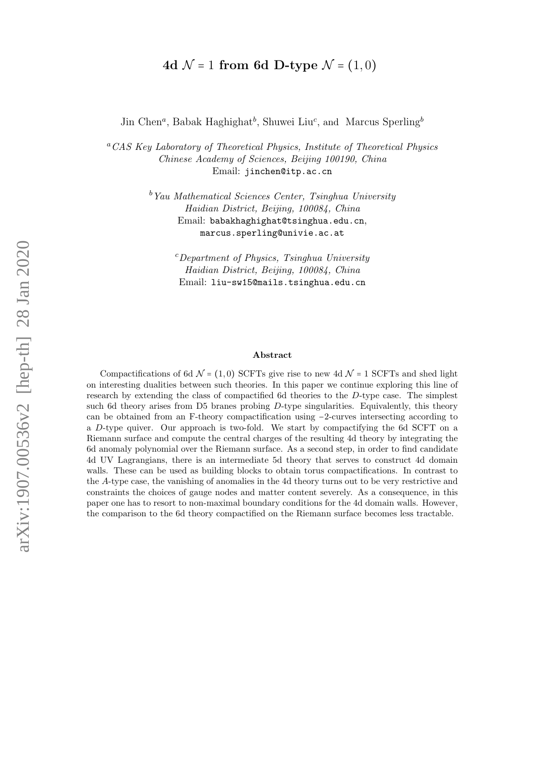# 4d  $\mathcal{N} = 1$  from 6d D-type  $\mathcal{N} = (1, 0)$

Jin Chen<sup>a</sup>, Babak Haghighat<sup>b</sup>, Shuwei Liu<sup>c</sup>, and Marcus Sperling<sup>b</sup>

<sup>a</sup>CAS Key Laboratory of Theoretical Physics, Institute of Theoretical Physics Chinese Academy of Sciences, Beijing 100190, China Email: jinchen@itp.ac.cn

> $b$ <sup>b</sup>Yau Mathematical Sciences Center, Tsinghua University Haidian District, Beijing, 100084, China Email: babakhaghighat@tsinghua.edu.cn, marcus.sperling@univie.ac.at

> > $c$ Department of Physics, Tsinghua University Haidian District, Beijing, 100084, China Email: liu-sw15@mails.tsinghua.edu.cn

#### Abstract

Compactifications of 6d  $\mathcal{N} = (1, 0)$  SCFTs give rise to new 4d  $\mathcal{N} = 1$  SCFTs and shed light on interesting dualities between such theories. In this paper we continue exploring this line of research by extending the class of compactified 6d theories to the D-type case. The simplest such 6d theory arises from D5 branes probing  $D$ -type singularities. Equivalently, this theory can be obtained from an F-theory compactification using −2-curves intersecting according to a D-type quiver. Our approach is two-fold. We start by compactifying the 6d SCFT on a Riemann surface and compute the central charges of the resulting 4d theory by integrating the 6d anomaly polynomial over the Riemann surface. As a second step, in order to find candidate 4d UV Lagrangians, there is an intermediate 5d theory that serves to construct 4d domain walls. These can be used as building blocks to obtain torus compactifications. In contrast to the A-type case, the vanishing of anomalies in the 4d theory turns out to be very restrictive and constraints the choices of gauge nodes and matter content severely. As a consequence, in this paper one has to resort to non-maximal boundary conditions for the 4d domain walls. However, the comparison to the 6d theory compactified on the Riemann surface becomes less tractable.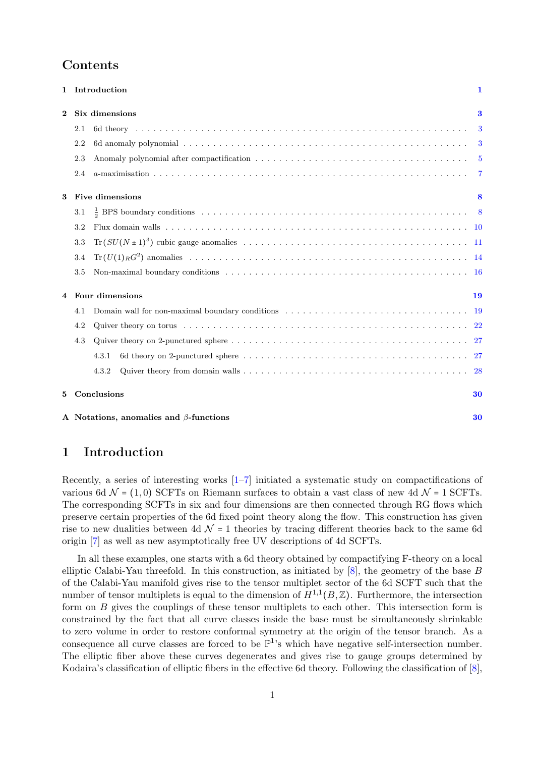# Contents

|          |                 | 1 Introduction                                | $\mathbf 1$ |  |  |  |
|----------|-----------------|-----------------------------------------------|-------------|--|--|--|
| $\bf{2}$ |                 | Six dimensions                                |             |  |  |  |
|          | 2.1             |                                               |             |  |  |  |
|          | 2.2             |                                               |             |  |  |  |
|          | 2.3             |                                               |             |  |  |  |
|          | 2.4             |                                               |             |  |  |  |
| 3        |                 | Five dimensions                               | 8           |  |  |  |
|          | 3.1             |                                               |             |  |  |  |
|          | 3.2             |                                               |             |  |  |  |
|          | 3.3             |                                               |             |  |  |  |
|          | 3.4             |                                               |             |  |  |  |
|          | 3.5             |                                               |             |  |  |  |
| 4        | Four dimensions |                                               |             |  |  |  |
|          | 4.1             |                                               |             |  |  |  |
|          | 4.2             |                                               |             |  |  |  |
|          | 4.3             |                                               |             |  |  |  |
|          |                 | 4.3.1                                         |             |  |  |  |
|          |                 | 4.3.2                                         |             |  |  |  |
| 5        |                 | Conclusions                                   | 30          |  |  |  |
|          |                 | A Notations, anomalies and $\beta$ -functions | 30          |  |  |  |

# <span id="page-1-0"></span>1 Introduction

Recently, a series of interesting works [\[1–](#page-32-0)[7\]](#page-32-1) initiated a systematic study on compactifications of various 6d  $\mathcal{N} = (1, 0)$  SCFTs on Riemann surfaces to obtain a vast class of new 4d  $\mathcal{N} = 1$  SCFTs. The corresponding SCFTs in six and four dimensions are then connected through RG flows which preserve certain properties of the 6d fixed point theory along the flow. This construction has given rise to new dualities between 4d  $\mathcal{N}$  = 1 theories by tracing different theories back to the same 6d origin [\[7\]](#page-32-1) as well as new asymptotically free UV descriptions of 4d SCFTs.

In all these examples, one starts with a 6d theory obtained by compactifying F-theory on a local elliptic Calabi-Yau threefold. In this construction, as initiated by [\[8\]](#page-32-2), the geometry of the base B of the Calabi-Yau manifold gives rise to the tensor multiplet sector of the 6d SCFT such that the number of tensor multiplets is equal to the dimension of  $H^{1,1}(B,\mathbb{Z})$ . Furthermore, the intersection form on B gives the couplings of these tensor multiplets to each other. This intersection form is constrained by the fact that all curve classes inside the base must be simultaneously shrinkable to zero volume in order to restore conformal symmetry at the origin of the tensor branch. As a consequence all curve classes are forced to be  $\mathbb{P}^1$ 's which have negative self-intersection number. The elliptic fiber above these curves degenerates and gives rise to gauge groups determined by Kodaira's classification of elliptic fibers in the effective 6d theory. Following the classification of [\[8\]](#page-32-2),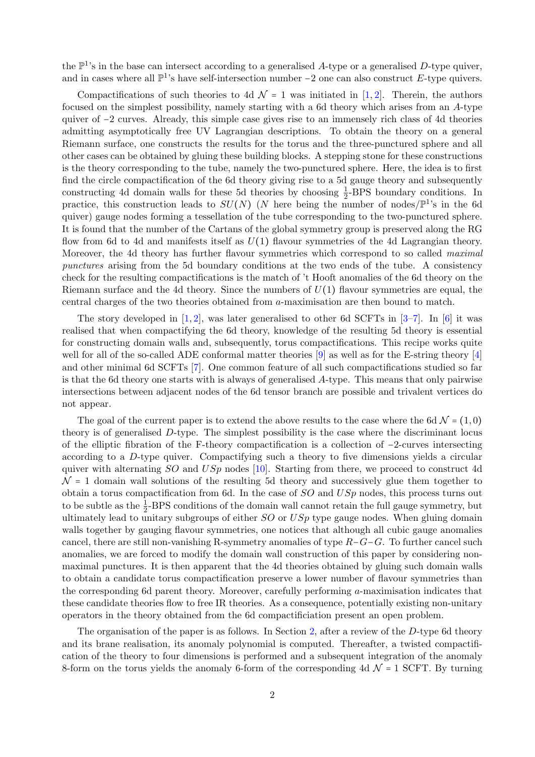the  $\mathbb{P}^1$ 's in the base can intersect according to a generalised A-type or a generalised D-type quiver, and in cases where all  $\mathbb{P}^1$ 's have self-intersection number -2 one can also construct E-type quivers.

Compactifications of such theories to 4d  $\mathcal{N} = 1$  was initiated in [\[1,](#page-32-0) [2\]](#page-32-3). Therein, the authors focused on the simplest possibility, namely starting with a 6d theory which arises from an A-type quiver of −2 curves. Already, this simple case gives rise to an immensely rich class of 4d theories admitting asymptotically free UV Lagrangian descriptions. To obtain the theory on a general Riemann surface, one constructs the results for the torus and the three-punctured sphere and all other cases can be obtained by gluing these building blocks. A stepping stone for these constructions is the theory corresponding to the tube, namely the two-punctured sphere. Here, the idea is to first find the circle compactification of the 6d theory giving rise to a 5d gauge theory and subsequently constructing 4d domain walls for these 5d theories by choosing  $\frac{1}{2}$ -BPS boundary conditions. In practice, this construction leads to  $SU(N)$  (N here being the number of nodes/ $\mathbb{P}^{1}$ 's in the 6d quiver) gauge nodes forming a tessellation of the tube corresponding to the two-punctured sphere. It is found that the number of the Cartans of the global symmetry group is preserved along the RG flow from 6d to 4d and manifests itself as  $U(1)$  flavour symmetries of the 4d Lagrangian theory. Moreover, the 4d theory has further flavour symmetries which correspond to so called *maximal* punctures arising from the 5d boundary conditions at the two ends of the tube. A consistency check for the resulting compactifications is the match of 't Hooft anomalies of the 6d theory on the Riemann surface and the 4d theory. Since the numbers of  $U(1)$  flavour symmetries are equal, the central charges of the two theories obtained from a-maximisation are then bound to match.

The story developed in [\[1,](#page-32-0) [2\]](#page-32-3), was later generalised to other 6d SCFTs in  $[3-7]$  $[3-7]$ . In [\[6\]](#page-32-5) it was realised that when compactifying the 6d theory, knowledge of the resulting 5d theory is essential for constructing domain walls and, subsequently, torus compactifications. This recipe works quite well for all of the so-called ADE conformal matter theories [\[9\]](#page-32-6) as well as for the E-string theory [\[4\]](#page-32-7) and other minimal 6d SCFTs [\[7\]](#page-32-1). One common feature of all such compactifications studied so far is that the 6d theory one starts with is always of generalised A-type. This means that only pairwise intersections between adjacent nodes of the 6d tensor branch are possible and trivalent vertices do not appear.

The goal of the current paper is to extend the above results to the case where the 6d  $\mathcal{N} = (1, 0)$ theory is of generalised D-type. The simplest possibility is the case where the discriminant locus of the elliptic fibration of the F-theory compactification is a collection of −2-curves intersecting according to a D-type quiver. Compactifying such a theory to five dimensions yields a circular quiver with alternating  $SO$  and  $USp$  nodes [\[10\]](#page-32-8). Starting from there, we proceed to construct 4d  $\mathcal{N}$  = 1 domain wall solutions of the resulting 5d theory and successively glue them together to obtain a torus compactification from 6d. In the case of  $SO$  and  $USp$  nodes, this process turns out to be subtle as the  $\frac{1}{2}$ -BPS conditions of the domain wall cannot retain the full gauge symmetry, but ultimately lead to unitary subgroups of either  $SO$  or  $USp$  type gauge nodes. When gluing domain walls together by gauging flavour symmetries, one notices that although all cubic gauge anomalies cancel, there are still non-vanishing R-symmetry anomalies of type  $R-G-G$ . To further cancel such anomalies, we are forced to modify the domain wall construction of this paper by considering nonmaximal punctures. It is then apparent that the 4d theories obtained by gluing such domain walls to obtain a candidate torus compactification preserve a lower number of flavour symmetries than the corresponding 6d parent theory. Moreover, carefully performing a-maximisation indicates that these candidate theories flow to free IR theories. As a consequence, potentially existing non-unitary operators in the theory obtained from the 6d compactificiation present an open problem.

The organisation of the paper is as follows. In Section [2,](#page-3-0) after a review of the D-type 6d theory and its brane realisation, its anomaly polynomial is computed. Thereafter, a twisted compactification of the theory to four dimensions is performed and a subsequent integration of the anomaly 8-form on the torus yields the anomaly 6-form of the corresponding 4d  $\mathcal{N} = 1$  SCFT. By turning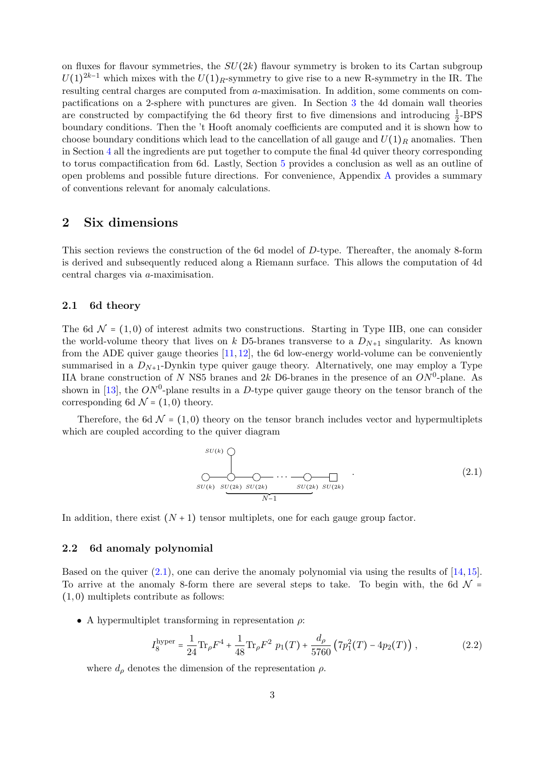on fluxes for flavour symmetries, the  $SU(2k)$  flavour symmetry is broken to its Cartan subgroup  $U(1)^{2k-1}$  which mixes with the  $U(1)_R$ -symmetry to give rise to a new R-symmetry in the IR. The resulting central charges are computed from a-maximisation. In addition, some comments on compactifications on a 2-sphere with punctures are given. In Section [3](#page-8-0) the 4d domain wall theories are constructed by compactifying the 6d theory first to five dimensions and introducing  $\frac{1}{2}$ -BPS boundary conditions. Then the 't Hooft anomaly coefficients are computed and it is shown how to choose boundary conditions which lead to the cancellation of all gauge and  $U(1)_R$  anomalies. Then in Section [4](#page-19-0) all the ingredients are put together to compute the final 4d quiver theory corresponding to torus compactification from 6d. Lastly, Section [5](#page-30-0) provides a conclusion as well as an outline of open problems and possible future directions. For convenience, Appendix [A](#page-30-1) provides a summary of conventions relevant for anomaly calculations.

# <span id="page-3-0"></span>2 Six dimensions

This section reviews the construction of the 6d model of D-type. Thereafter, the anomaly 8-form is derived and subsequently reduced along a Riemann surface. This allows the computation of 4d central charges via a-maximisation.

## <span id="page-3-1"></span>2.1 6d theory

The 6d  $\mathcal{N} = (1, 0)$  of interest admits two constructions. Starting in Type IIB, one can consider the world-volume theory that lives on k D5-branes transverse to a  $D_{N+1}$  singularity. As known from the ADE quiver gauge theories  $[11, 12]$  $[11, 12]$  $[11, 12]$ , the 6d low-energy world-volume can be conveniently summarised in a  $D_{N+1}$ -Dynkin type quiver gauge theory. Alternatively, one may employ a Type IIA brane construction of N NS5 branes and 2k D6-branes in the presence of an  $ON^0$ -plane. As shown in [\[13\]](#page-33-0), the  $ON^0$ -plane results in a D-type quiver gauge theory on the tensor branch of the corresponding 6d  $\mathcal{N} = (1,0)$  theory.

Therefore, the 6d  $\mathcal{N} = (1,0)$  theory on the tensor branch includes vector and hypermultiplets which are coupled according to the quiver diagram

<span id="page-3-3"></span>
$$
SU(k) \bigcirc \qquad \qquad \bigcirc \qquad \qquad \bigcirc \qquad \qquad \bigcirc \qquad \qquad \bigcirc \qquad \qquad \bigcirc \qquad \qquad \bigcirc \qquad \qquad \bigcirc \qquad \qquad \bigcirc \qquad \qquad \bigcirc \qquad \qquad \bigcirc \qquad \qquad \bigcirc \qquad \qquad \bigcirc \qquad \qquad \bigcirc \qquad \qquad \bigcirc \qquad \qquad \bigcirc \qquad \qquad \bigcirc \qquad \qquad \bigcirc \qquad \qquad \bigcirc \qquad \qquad \bigcirc \qquad \qquad \bigcirc \qquad \qquad \bigcirc \qquad \qquad \bigcirc \qquad \qquad \bigcirc \qquad \qquad \bigcirc \qquad \qquad \bigcirc \qquad \qquad \bigcirc \qquad \qquad \bigcirc \qquad \qquad \bigcirc \qquad \qquad \bigcirc \qquad \qquad \bigcirc \qquad \qquad \bigcirc \qquad \qquad \bigcirc \qquad \qquad \bigcirc \qquad \qquad \bigcirc \qquad \qquad \bigcirc \qquad \qquad \bigcirc \qquad \qquad \bigcirc \qquad \qquad \bigcirc \qquad \qquad \bigcirc \qquad \qquad \bigcirc \qquad \bigcirc \qquad \qquad \bigcirc \qquad \qquad \bigcirc \qquad \qquad \bigcirc \qquad \qquad \bigcirc \qquad \qquad \bigcirc \qquad \qquad \bigcirc \qquad \qquad \bigcirc \qquad \qquad \bigcirc \qquad \qquad \bigcirc \qquad \bigcirc \qquad \qquad \bigcirc \qquad \bigcirc \qquad \bigcirc \qquad \qquad \bigcirc \qquad \bigcirc \qquad \qquad \bigcirc \qquad \bigcirc \qquad \bigcirc \qquad \bigcirc \qquad \bigcirc \qquad \bigcirc \qquad \bigcirc \qquad \bigcirc \qquad \bigcirc \qquad \bigcirc \qquad \bigcirc \qquad \bigcirc \qquad \bigcirc \qquad \bigcirc \qquad \bigcirc \qquad \bigcirc \qquad \bigcirc \qquad \bigcirc \qquad \bigcirc \qquad \bigcirc \qquad \bigcirc \qquad \bigcirc \qquad \bigcirc \qquad \bigcirc \qquad \bigcirc \qquad \bigcirc \qquad \bigcirc \qquad \bigcirc \qquad \bigcirc \qquad \bigcirc \qquad \bigcirc \qquad \bigcirc \qquad \bigcirc \qquad \bigcirc \qquad \bigcirc \qquad \bigcirc \qquad \bigcirc \qquad \bigcirc \qquad \bigcirc \qquad \bigcirc \qquad \bigcirc \qquad \bigcirc \qquad \bigcirc \qquad
$$

In addition, there exist  $(N + 1)$  tensor multiplets, one for each gauge group factor.

### <span id="page-3-2"></span>2.2 6d anomaly polynomial

Based on the quiver  $(2.1)$ , one can derive the anomaly polynomial via using the results of  $[14, 15]$  $[14, 15]$  $[14, 15]$ . To arrive at the anomaly 8-form there are several steps to take. To begin with, the 6d  $\mathcal{N}$  = (1, 0) multiplets contribute as follows:

• A hypermultiplet transforming in representation  $\rho$ :

$$
I_8^{\text{hyper}} = \frac{1}{24} \text{Tr}_{\rho} F^4 + \frac{1}{48} \text{Tr}_{\rho} F^2 \ p_1(T) + \frac{d_{\rho}}{5760} \left( 7p_1^2(T) - 4p_2(T) \right) \,, \tag{2.2}
$$

where  $d_{\rho}$  denotes the dimension of the representation  $\rho$ .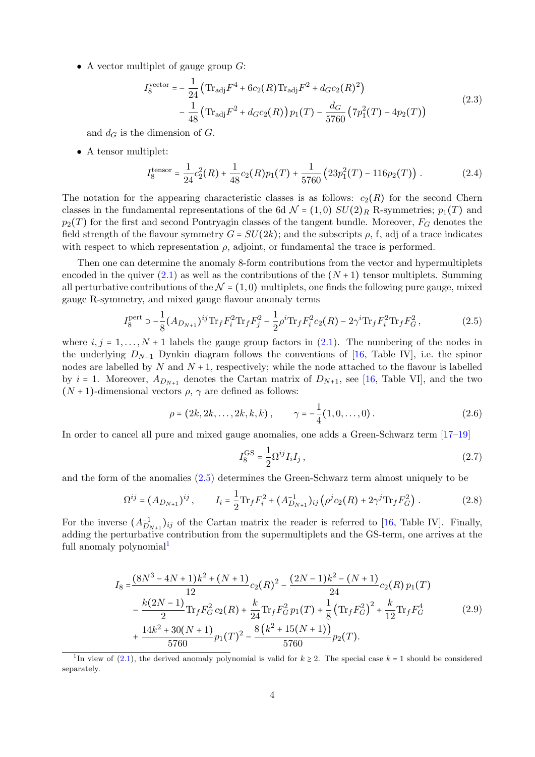• A vector multiplet of gauge group  $G$ :

$$
I_8^{\text{vector}} = -\frac{1}{24} \left( \text{Tr}_{\text{adj}} F^4 + 6c_2(R) \text{Tr}_{\text{adj}} F^2 + d_G c_2(R)^2 \right) -\frac{1}{48} \left( \text{Tr}_{\text{adj}} F^2 + d_G c_2(R) \right) p_1(T) - \frac{d_G}{5760} \left( 7p_1^2(T) - 4p_2(T) \right)
$$
(2.3)

and  $d_G$  is the dimension of G.

• A tensor multiplet:

$$
I_8^{\text{tensor}} = \frac{1}{24}c_2^2(R) + \frac{1}{48}c_2(R)p_1(T) + \frac{1}{5760}(23p_1^2(T) - 116p_2(T)).
$$
 (2.4)

The notation for the appearing characteristic classes is as follows:  $c_2(R)$  for the second Chern classes in the fundamental representations of the 6d  $\mathcal{N} = (1,0) SU(2)_R$  R-symmetries;  $p_1(T)$  and  $p_2(T)$  for the first and second Pontryagin classes of the tangent bundle. Moreover,  $F_G$  denotes the field strength of the flavour symmetry  $G = SU(2k)$ ; and the subscripts  $\rho$ , f, adj of a trace indicates with respect to which representation  $\rho$ , adjoint, or fundamental the trace is performed.

Then one can determine the anomaly 8-form contributions from the vector and hypermultiplets encoded in the quiver  $(2.1)$  as well as the contributions of the  $(N+1)$  tensor multiplets. Summing all perturbative contributions of the  $\mathcal{N} = (1, 0)$  multiplets, one finds the following pure gauge, mixed gauge R-symmetry, and mixed gauge flavour anomaly terms

$$
I_8^{\text{pert}} \supset -\frac{1}{8} (A_{D_{N+1}})^{ij} \text{Tr}_f F_i^2 \text{Tr}_f F_j^2 - \frac{1}{2} \rho^i \text{Tr}_f F_i^2 c_2(R) - 2\gamma^i \text{Tr}_f F_i^2 \text{Tr}_f F_G^2, \tag{2.5}
$$

where  $i, j = 1, \ldots, N + 1$  labels the gauge group factors in [\(2.1\)](#page-3-3). The numbering of the nodes in the underlying  $D_{N+1}$  Dynkin diagram follows the conventions of [\[16,](#page-33-3) Table IV], i.e. the spinor nodes are labelled by N and  $N + 1$ , respectively; while the node attached to the flavour is labelled by  $i = 1$ . Moreover,  $A_{D_{N+1}}$  denotes the Cartan matrix of  $D_{N+1}$ , see [\[16,](#page-33-3) Table VI], and the two  $(N + 1)$ -dimensional vectors  $\rho$ ,  $\gamma$  are defined as follows:

$$
\rho = (2k, 2k, \dots, 2k, k, k), \qquad \gamma = -\frac{1}{4}(1, 0, \dots, 0).
$$
 (2.6)

In order to cancel all pure and mixed gauge anomalies, one adds a Green-Schwarz term [\[17–](#page-33-4)[19\]](#page-33-5)

<span id="page-4-2"></span><span id="page-4-0"></span>
$$
I_8^{\text{GS}} = \frac{1}{2} \Omega^{ij} I_i I_j , \qquad (2.7)
$$

and the form of the anomalies [\(2.5\)](#page-4-0) determines the Green-Schwarz term almost uniquely to be

$$
\Omega^{ij} = (A_{D_{N+1}})^{ij}, \qquad I_i = \frac{1}{2} \text{Tr}_f F_i^2 + (A_{D_{N+1}}^{-1})_{ij} \left( \rho^j c_2(R) + 2 \gamma^j \text{Tr}_f F_G^2 \right). \tag{2.8}
$$

For the inverse  $(A_{D_{N+1}}^{-1})_{ij}$  of the Cartan matrix the reader is referred to [\[16,](#page-33-3) Table IV]. Finally, adding the perturbative contribution from the supermultiplets and the GS-term, one arrives at the full anomaly polynomial<sup>[1](#page-4-1)</sup>

$$
I_8 = \frac{(8N^3 - 4N + 1)k^2 + (N + 1)}{12}c_2(R)^2 - \frac{(2N - 1)k^2 - (N + 1)}{24}c_2(R)p_1(T)
$$
  
 
$$
- \frac{k(2N - 1)}{2}\text{Tr}_fF_G^2c_2(R) + \frac{k}{24}\text{Tr}_fF_G^2p_1(T) + \frac{1}{8}\left(\text{Tr}_fF_G^2\right)^2 + \frac{k}{12}\text{Tr}_fF_G^4
$$
  
 
$$
+ \frac{14k^2 + 30(N + 1)}{5760}p_1(T)^2 - \frac{8(k^2 + 15(N + 1))}{5760}p_2(T).
$$
 (2.9)

<span id="page-4-1"></span><sup>&</sup>lt;sup>1</sup>In view of [\(2.1\)](#page-3-3), the derived anomaly polynomial is valid for  $k \ge 2$ . The special case  $k = 1$  should be considered separately.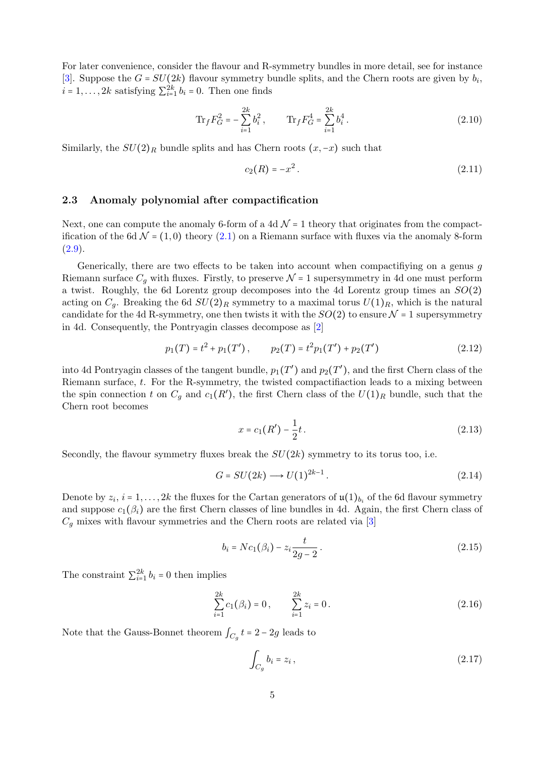For later convenience, consider the flavour and R-symmetry bundles in more detail, see for instance [\[3\]](#page-32-4). Suppose the  $G = SU(2k)$  flavour symmetry bundle splits, and the Chern roots are given by  $b_i$ ,  $i = 1, \ldots, 2k$  satisfying  $\sum_{i=1}^{2k} b_i = 0$ . Then one finds

$$
\text{Tr}_f F_G^2 = -\sum_{i=1}^{2k} b_i^2, \qquad \text{Tr}_f F_G^4 = \sum_{i=1}^{2k} b_i^4.
$$
 (2.10)

Similarly, the  $SU(2)_R$  bundle splits and has Chern roots  $(x, -x)$  such that

<span id="page-5-2"></span><span id="page-5-1"></span>
$$
c_2(R) = -x^2. \t\t(2.11)
$$

## <span id="page-5-0"></span>2.3 Anomaly polynomial after compactification

Next, one can compute the anomaly 6-form of a 4d  $\mathcal{N} = 1$  theory that originates from the compactification of the 6d  $\mathcal{N} = (1,0)$  theory  $(2.1)$  on a Riemann surface with fluxes via the anomaly 8-form  $(2.9).$  $(2.9).$ 

Generically, there are two effects to be taken into account when compactifiying on a genus g Riemann surface  $C_q$  with fluxes. Firstly, to preserve  $\mathcal{N} = 1$  supersymmetry in 4d one must perform a twist. Roughly, the 6d Lorentz group decomposes into the 4d Lorentz group times an  $SO(2)$ acting on  $C_q$ . Breaking the 6d  $SU(2)_R$  symmetry to a maximal torus  $U(1)_R$ , which is the natural candidate for the 4d R-symmetry, one then twists it with the  $SO(2)$  to ensure  $\mathcal{N}=1$  supersymmetry in 4d. Consequently, the Pontryagin classes decompose as [\[2\]](#page-32-3)

$$
p_1(T) = t^2 + p_1(T'), \qquad p_2(T) = t^2 p_1(T') + p_2(T')
$$
\n(2.12)

into 4d Pontryagin classes of the tangent bundle,  $p_1(T')$  and  $p_2(T')$ , and the first Chern class of the Riemann surface, t. For the R-symmetry, the twisted compactifiaction leads to a mixing between the spin connection t on  $C_g$  and  $c_1(R')$ , the first Chern class of the  $U(1)_R$  bundle, such that the Chern root becomes

<span id="page-5-3"></span>
$$
x = c_1(R') - \frac{1}{2}t. \tag{2.13}
$$

Secondly, the flavour symmetry fluxes break the  $SU(2k)$  symmetry to its torus too, i.e.

$$
G = SU(2k) \longrightarrow U(1)^{2k-1}.
$$
\n
$$
(2.14)
$$

Denote by  $z_i$ ,  $i = 1, ..., 2k$  the fluxes for the Cartan generators of  $\mathfrak{u}(1)_{b_i}$  of the 6d flavour symmetry and suppose  $c_1(\beta_i)$  are the first Chern classes of line bundles in 4d. Again, the first Chern class of  $C_q$  mixes with flavour symmetries and the Chern roots are related via [\[3\]](#page-32-4)

<span id="page-5-4"></span>
$$
b_i = Nc_1(\beta_i) - z_i \frac{t}{2g - 2}.
$$
\n(2.15)

The constraint  $\sum_{i=1}^{2k} b_i = 0$  then implies

$$
\sum_{i=1}^{2k} c_1(\beta_i) = 0, \qquad \sum_{i=1}^{2k} z_i = 0.
$$
 (2.16)

Note that the Gauss-Bonnet theorem  $\int_{C_g} t = 2 - 2g$  leads to

<span id="page-5-5"></span>
$$
\int_{C_g} b_i = z_i , \qquad (2.17)
$$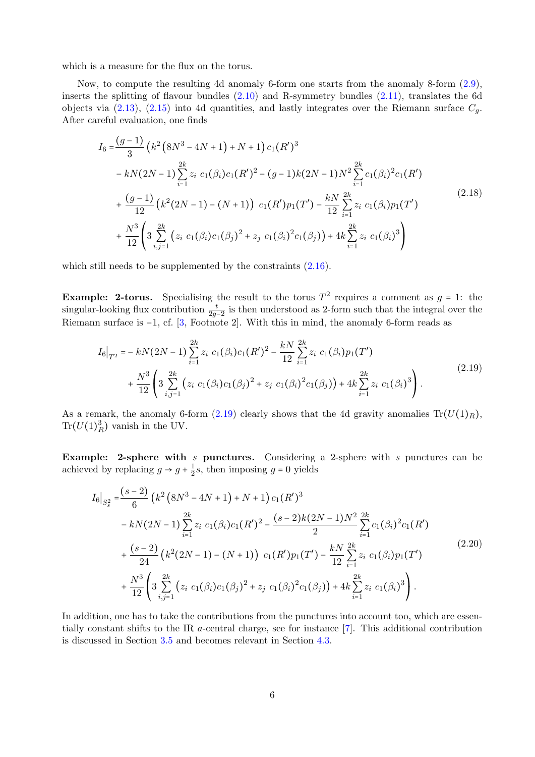which is a measure for the flux on the torus.

Now, to compute the resulting 4d anomaly 6-form one starts from the anomaly 8-form [\(2.9\)](#page-4-2), inserts the splitting of flavour bundles  $(2.10)$  and R-symmetry bundles  $(2.11)$ , translates the 6d objects via [\(2.13\)](#page-5-3), [\(2.15\)](#page-5-4) into 4d quantities, and lastly integrates over the Riemann surface  $C_q$ . After careful evaluation, one finds

<span id="page-6-1"></span>
$$
I_{6} = \frac{(g-1)}{3} \left( k^{2} \left( 8N^{3} - 4N + 1 \right) + N + 1 \right) c_{1} (R')^{3}
$$
  
\n
$$
- kN(2N - 1) \sum_{i=1}^{2k} z_{i} c_{1} (\beta_{i}) c_{1} (R')^{2} - (g-1) k (2N - 1) N^{2} \sum_{i=1}^{2k} c_{1} (\beta_{i})^{2} c_{1} (R')
$$
  
\n
$$
+ \frac{(g-1)}{12} \left( k^{2} (2N - 1) - (N + 1) \right) c_{1} (R') p_{1} (T') - \frac{kN}{12} \sum_{i=1}^{2k} z_{i} c_{1} (\beta_{i}) p_{1} (T')
$$
  
\n
$$
+ \frac{N^{3}}{12} \left( 3 \sum_{i,j=1}^{2k} \left( z_{i} c_{1} (\beta_{i}) c_{1} (\beta_{j})^{2} + z_{j} c_{1} (\beta_{i})^{2} c_{1} (\beta_{j}) \right) + 4k \sum_{i=1}^{2k} z_{i} c_{1} (\beta_{i})^{3} \right)
$$
  
\n(2.18)

which still needs to be supplemented by the constraints  $(2.16)$ .

**Example: 2-torus.** Specialising the result to the torus  $T^2$  requires a comment as  $g = 1$ : the singular-looking flux contribution  $\frac{t}{2g-2}$  is then understood as 2-form such that the integral over the Riemann surface is -1, cf. [\[3,](#page-32-4) Footnote 2]. With this in mind, the anomaly 6-form reads as

<span id="page-6-0"></span>
$$
I_6|_{T^2} = -kN(2N-1)\sum_{i=1}^{2k} z_i \ c_1(\beta_i)c_1(R')^2 - \frac{kN}{12}\sum_{i=1}^{2k} z_i \ c_1(\beta_i)p_1(T')
$$
  
+ 
$$
\frac{N^3}{12}\left(3\sum_{i,j=1}^{2k} (z_i \ c_1(\beta_i)c_1(\beta_j)^2 + z_j \ c_1(\beta_i)^2c_1(\beta_j)) + 4k\sum_{i=1}^{2k} z_i \ c_1(\beta_i)^3\right).
$$

$$
(2.19)
$$

As a remark, the anomaly 6-form  $(2.19)$  clearly shows that the 4d gravity anomalies  $Tr(U(1)<sub>R</sub>)$ ,  $\text{Tr}(U(1)_R^3)$  vanish in the UV.

Example: 2-sphere with  $s$  punctures. Considering a 2-sphere with  $s$  punctures can be achieved by replacing  $g \to g + \frac{1}{2}$  $\frac{1}{2}s$ , then imposing  $g = 0$  yields

<span id="page-6-2"></span>
$$
I_{6}|_{S_{s}^{2}} = \frac{(s-2)}{6} \left(k^{2} (8N^{3} - 4N + 1) + N + 1\right) c_{1}(R')^{3}
$$
  
\n
$$
-kN(2N-1) \sum_{i=1}^{2k} z_{i} c_{1}(\beta_{i}) c_{1}(R')^{2} - \frac{(s-2)k(2N-1)N^{2}}{2} \sum_{i=1}^{2k} c_{1}(\beta_{i})^{2} c_{1}(R')
$$
  
\n
$$
+ \frac{(s-2)}{24} \left(k^{2} (2N-1) - (N+1)\right) c_{1}(R')p_{1}(T') - \frac{kN}{12} \sum_{i=1}^{2k} z_{i} c_{1}(\beta_{i}) p_{1}(T')
$$
  
\n
$$
+ \frac{N^{3}}{12} \left(3 \sum_{i,j=1}^{2k} \left(z_{i} c_{1}(\beta_{i}) c_{1}(\beta_{j})^{2} + z_{j} c_{1}(\beta_{i})^{2} c_{1}(\beta_{j})\right) + 4k \sum_{i=1}^{2k} z_{i} c_{1}(\beta_{i})^{3}\right).
$$
  
\n(2.20)

In addition, one has to take the contributions from the punctures into account too, which are essentially constant shifts to the IR a-central charge, see for instance [\[7\]](#page-32-1). This additional contribution is discussed in Section [3.5](#page-16-0) and becomes relevant in Section [4.3.](#page-27-0)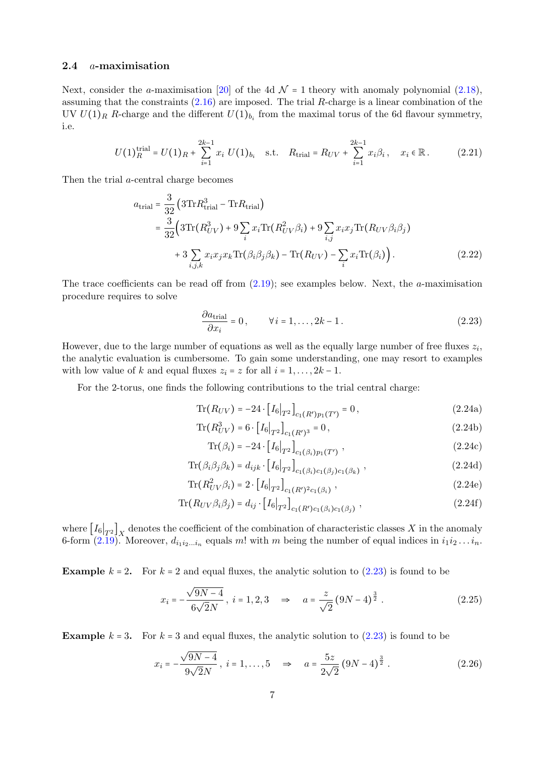# <span id="page-7-0"></span>2.4 a-maximisation

Next, consider the a-maximisation [\[20\]](#page-33-6) of the 4d  $\mathcal{N} = 1$  theory with anomaly polynomial [\(2.18\)](#page-6-1), assuming that the constraints  $(2.16)$  are imposed. The trial R-charge is a linear combination of the UV  $U(1)_R$  R-charge and the different  $U(1)_{b_i}$  from the maximal torus of the 6d flavour symmetry, i.e.

$$
U(1)^{\text{trial}}_{R} = U(1)_{R} + \sum_{i=1}^{2k-1} x_{i} U(1)_{b_{i}} \quad \text{s.t.} \quad R_{\text{trial}} = R_{UV} + \sum_{i=1}^{2k-1} x_{i} \beta_{i}, \quad x_{i} \in \mathbb{R}. \tag{2.21}
$$

Then the trial a-central charge becomes

$$
a_{\text{trial}} = \frac{3}{32} \left( 3 \text{Tr} R_{\text{trial}}^3 - \text{Tr} R_{\text{trial}} \right)
$$
  
= 
$$
\frac{3}{32} \left( 3 \text{Tr} (R_{UV}^3) + 9 \sum_i x_i \text{Tr} (R_{UV}^2 \beta_i) + 9 \sum_{i,j} x_i x_j \text{Tr} (R_{UV} \beta_i \beta_j) + 3 \sum_{i,j,k} x_i x_j x_k \text{Tr} (\beta_i \beta_j \beta_k) - \text{Tr} (R_{UV}) - \sum_i x_i \text{Tr} (\beta_i) \right). \tag{2.22}
$$

The trace coefficients can be read off from  $(2.19)$ ; see examples below. Next, the *a*-maximisation procedure requires to solve

<span id="page-7-1"></span>
$$
\frac{\partial a_{\text{trial}}}{\partial x_i} = 0, \qquad \forall i = 1, \dots, 2k - 1.
$$
 (2.23)

However, due to the large number of equations as well as the equally large number of free fluxes  $z_i$ , the analytic evaluation is cumbersome. To gain some understanding, one may resort to examples with low value of k and equal fluxes  $z_i = z$  for all  $i = 1, \ldots, 2k - 1$ .

For the 2-torus, one finds the following contributions to the trial central charge:

$$
\text{Tr}(R_{UV}) = -24 \cdot [I_6|_{T^2}]_{c_1(R')p_1(T')} = 0, \qquad (2.24a)
$$

$$
\text{Tr}(R_{UV}^3) = 6 \cdot [I_6|_{T^2}]_{c_1(R')^3} = 0, \qquad (2.24b)
$$

<span id="page-7-3"></span><span id="page-7-2"></span>
$$
\text{Tr}(\beta_i) = -24 \cdot [I_6|_{T^2}]_{c_1(\beta_i)p_1(T')} , \qquad (2.24c)
$$

$$
\text{Tr}(\beta_i \beta_j \beta_k) = d_{ijk} \cdot \left[ I_6 \big|_{T^2} \right]_{c_1(\beta_i)c_1(\beta_j)c_1(\beta_k)}, \tag{2.24d}
$$

$$
\text{Tr}(R_{UV}^2 \beta_i) = 2 \cdot [I_6|_{T^2}]_{c_1(R')^2 c_1(\beta_i)}, \qquad (2.24e)
$$

$$
\text{Tr}(R_{UV}\beta_i\beta_j) = d_{ij} \cdot [I_6|_{T^2}]_{c_1(R')c_1(\beta_i)c_1(\beta_j)},
$$
\n(2.24f)

where  $[I_6]_{T^2}$  denotes the coefficient of the combination of characteristic classes X in the anomaly 6-form [\(2.19\)](#page-6-0). Moreover,  $d_{i_1 i_2 \ldots i_n}$  equals m! with m being the number of equal indices in  $i_1 i_2 \ldots i_n$ .

**Example**  $k = 2$ . For  $k = 2$  and equal fluxes, the analytic solution to  $(2.23)$  is found to be

$$
x_i = -\frac{\sqrt{9N-4}}{6\sqrt{2}N}, \ i = 1, 2, 3 \implies a = \frac{z}{\sqrt{2}} (9N-4)^{\frac{3}{2}}.
$$
 (2.25)

**Example**  $k = 3$ . For  $k = 3$  and equal fluxes, the analytic solution to  $(2.23)$  is found to be

<span id="page-7-4"></span>
$$
x_i = -\frac{\sqrt{9N-4}}{9\sqrt{2}N}, \ i = 1, \dots, 5 \quad \Rightarrow \quad a = \frac{5z}{2\sqrt{2}} (9N-4)^{\frac{3}{2}}.
$$
 (2.26)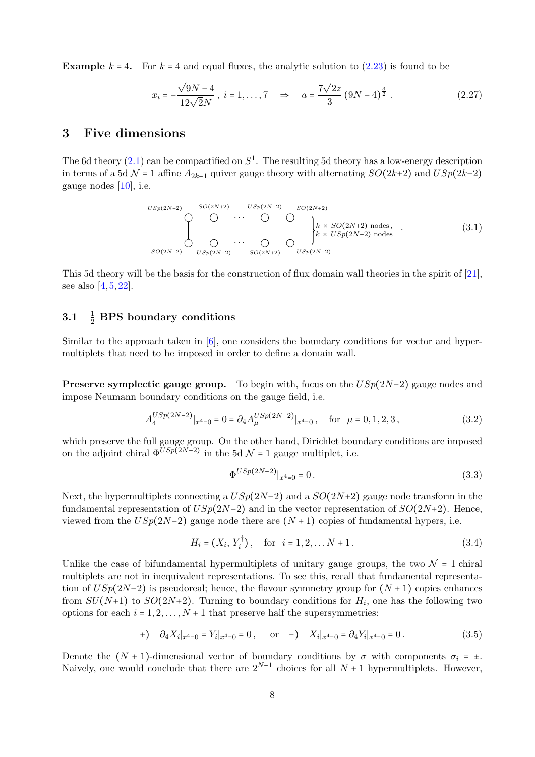**Example**  $k = 4$ . For  $k = 4$  and equal fluxes, the analytic solution to [\(2.23\)](#page-7-1) is found to be

<span id="page-8-6"></span>
$$
x_i = -\frac{\sqrt{9N-4}}{12\sqrt{2}N}, \ i = 1, ..., 7 \quad \Rightarrow \quad a = \frac{7\sqrt{2}z}{3} (9N-4)^{\frac{3}{2}}.
$$
 (2.27)

# <span id="page-8-0"></span>3 Five dimensions

The 6d theory  $(2.1)$  can be compactified on  $S^1$ . The resulting 5d theory has a low-energy description in terms of a 5d  $\mathcal{N}$  = 1 affine  $A_{2k-1}$  quiver gauge theory with alternating  $SO(2k+2)$  and  $USp(2k-2)$ gauge nodes [\[10\]](#page-32-8), i.e.

<span id="page-8-5"></span>SO(2N+2) USp(2N−2) . . . SO(2N+2) USp(2N−2) USp(2N−2) SO(2N+2) . . . USp(2N−2) SO(2N+2) k × SO(2N+2) nodes , k × USp(2N−2) nodes . (3.1)

This 5d theory will be the basis for the construction of flux domain wall theories in the spirit of [\[21\]](#page-33-7), see also [\[4,](#page-32-7) [5,](#page-32-11) [22\]](#page-33-8).

#### <span id="page-8-1"></span> $3.1$  $\frac{1}{2}$  BPS boundary conditions

Similar to the approach taken in [\[6\]](#page-32-5), one considers the boundary conditions for vector and hypermultiplets that need to be imposed in order to define a domain wall.

**Preserve symplectic gauge group.** To begin with, focus on the  $USp(2N-2)$  gauge nodes and impose Neumann boundary conditions on the gauge field, i.e.

$$
A_4^{USp(2N-2)}|_{x^4=0} = 0 = \partial_4 A_\mu^{USp(2N-2)}|_{x^4=0}, \quad \text{for } \mu = 0, 1, 2, 3,
$$
 (3.2)

which preserve the full gauge group. On the other hand, Dirichlet boundary conditions are imposed on the adjoint chiral  $\Phi^{USp(2N-2)}$  in the 5d  $\mathcal{N}=1$  gauge multiplet, i.e.

<span id="page-8-4"></span><span id="page-8-3"></span><span id="page-8-2"></span>
$$
\Phi^{USp(2N-2)}|_{x^4=0} = 0.
$$
\n(3.3)

Next, the hypermultiplets connecting a  $USp(2N-2)$  and a  $SO(2N+2)$  gauge node transform in the fundamental representation of  $USp(2N-2)$  and in the vector representation of  $SO(2N+2)$ . Hence, viewed from the  $USp(2N-2)$  gauge node there are  $(N + 1)$  copies of fundamental hypers, i.e.

$$
H_i = (X_i, Y_i^{\dagger}), \quad \text{for} \quad i = 1, 2, \dots N + 1. \tag{3.4}
$$

Unlike the case of bifundamental hypermultiplets of unitary gauge groups, the two  $\mathcal{N} = 1$  chiral multiplets are not in inequivalent representations. To see this, recall that fundamental representation of  $USp(2N-2)$  is pseudoreal; hence, the flavour symmetry group for  $(N + 1)$  copies enhances from  $SU(N+1)$  to  $SO(2N+2)$ . Turning to boundary conditions for  $H_i$ , one has the following two options for each  $i = 1, 2, ..., N + 1$  that preserve half the supersymmetries:

$$
+ ) \quad \partial_4 X_i|_{x^4=0} = Y_i|_{x^4=0} = 0, \qquad \text{or} \quad - ) \quad X_i|_{x^4=0} = \partial_4 Y_i|_{x^4=0} = 0. \tag{3.5}
$$

Denote the  $(N + 1)$ -dimensional vector of boundary conditions by  $\sigma$  with components  $\sigma_i = \pm$ . Naively, one would conclude that there are  $2^{N+1}$  choices for all  $N+1$  hypermultiplets. However,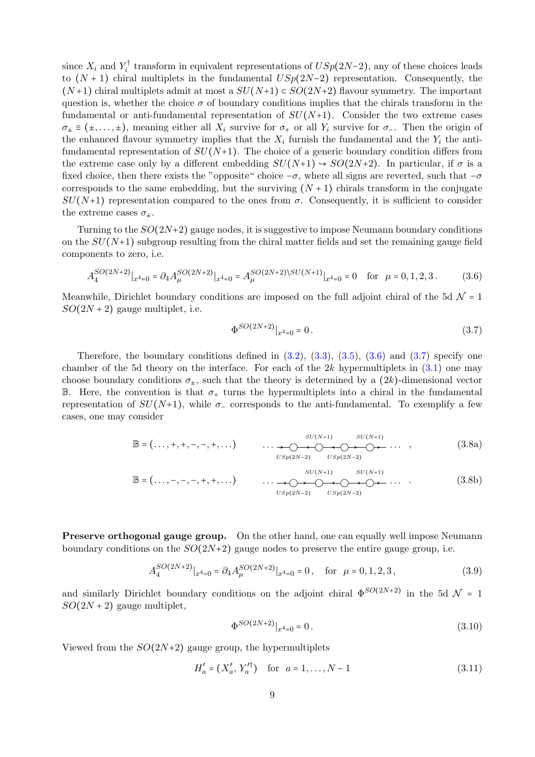since  $X_i$  and  $Y_i^{\dagger}$  $i_i^{\dagger}$  transform in equivalent representations of  $USp(2N-2)$ , any of these choices leads to  $(N + 1)$  chiral multiplets in the fundamental  $USp(2N-2)$  representation. Consequently, the  $(N+1)$  chiral multiplets admit at most a  $SU(N+1) \subset SO(2N+2)$  flavour symmetry. The important question is, whether the choice  $\sigma$  of boundary conditions implies that the chirals transform in the fundamental or anti-fundamental representation of  $SU(N+1)$ . Consider the two extreme cases  $\sigma_{\pm} \equiv (\pm, \dots, \pm)$ , meaning either all  $X_i$  survive for  $\sigma_{+}$  or all  $Y_i$  survive for  $\sigma_{-}$ . Then the origin of the enhanced flavour symmetry implies that the  $X_i$  furnish the fundamental and the  $Y_i$  the antifundamental representation of  $SU(N+1)$ . The choice of a generic boundary condition differs from the extreme case only by a different embedding  $SU(N+1) \rightarrow SO(2N+2)$ . In particular, if  $\sigma$  is a fixed choice, then there exists the "opposite" choice  $-\sigma$ , where all signs are reverted, such that  $-\sigma$ corresponds to the same embedding, but the surviving  $(N + 1)$  chirals transform in the conjugate  $SU(N+1)$  representation compared to the ones from  $\sigma$ . Consequently, it is sufficient to consider the extreme cases  $\sigma_{+}$ .

Turning to the  $SO(2N+2)$  gauge nodes, it is suggestive to impose Neumann boundary conditions on the  $SU(N+1)$  subgroup resulting from the chiral matter fields and set the remaining gauge field components to zero, i.e.

$$
A_4^{SO(2N+2)}|_{x^4=0} = \partial_4 A_\mu^{SO(2N+2)}|_{x^4=0} = A_\mu^{SO(2N+2)\setminus SU(N+1)}|_{x^4=0} = 0 \quad \text{for } \mu = 0, 1, 2, 3. \tag{3.6}
$$

Meanwhile, Dirichlet boundary conditions are imposed on the full adjoint chiral of the 5d  $\mathcal{N} = 1$  $SO(2N+2)$  gauge multiplet, i.e.

<span id="page-9-4"></span><span id="page-9-1"></span><span id="page-9-0"></span>
$$
\Phi^{SO(2N+2)}|_{x^4=0} = 0. \tag{3.7}
$$

Therefore, the boundary conditions defined in  $(3.2)$ ,  $(3.3)$ ,  $(3.5)$ ,  $(3.6)$  and  $(3.7)$  specify one chamber of the 5d theory on the interface. For each of the  $2k$  hypermultiplets in  $(3.1)$  one may choose boundary conditions  $\sigma_{+}$ , such that the theory is determined by a  $(2k)$ -dimensional vector B. Here, the convention is that  $\sigma_{+}$  turns the hypermultiplets into a chiral in the fundamental representation of  $SU(N+1)$ , while  $\sigma$ <sub>-</sub> corresponds to the anti-fundamental. To exemplify a few cases, one may consider

$$
\mathbb{B} = (\ldots, +, +, -, -, +, \ldots) \qquad \qquad \ldots \longrightarrow \bigcirc_{USp(2N-2)} \bigcirc_{USp(2N-2)} SU(N+1) \qquad (3.8a)
$$

$$
\mathbb{B} = (\ldots, -, -, -, +, +, \ldots) \qquad \qquad \ldots \qquad \qquad \underbrace{\qquad \qquad SU(N+1) \qquad SU(N+1)}_{USp(2N-2)} \qquad \qquad \ldots \qquad \qquad \qquad \qquad \qquad (3.8b)
$$

Preserve orthogonal gauge group. On the other hand, one can equally well impose Neumann boundary conditions on the  $SO(2N+2)$  gauge nodes to preserve the entire gauge group, i.e.

$$
A_4^{SO(2N+2)}|_{x^4=0} = \partial_4 A_\mu^{SO(2N+2)}|_{x^4=0} = 0, \quad \text{for } \mu = 0, 1, 2, 3,
$$
 (3.9)

and similarly Dirichlet boundary conditions on the adjoint chiral  $\Phi^{SO(2N+2)}$  in the 5d  $\mathcal{N}=1$  $SO(2N+2)$  gauge multiplet,

<span id="page-9-3"></span><span id="page-9-2"></span>
$$
\Phi^{SO(2N+2)}|_{x^4=0} = 0.
$$
\n(3.10)

Viewed from the  $SO(2N+2)$  gauge group, the hypermultiplets

$$
H'_a = (X'_a, Y'^\dagger_a) \quad \text{for} \quad a = 1, \dots, N-1 \tag{3.11}
$$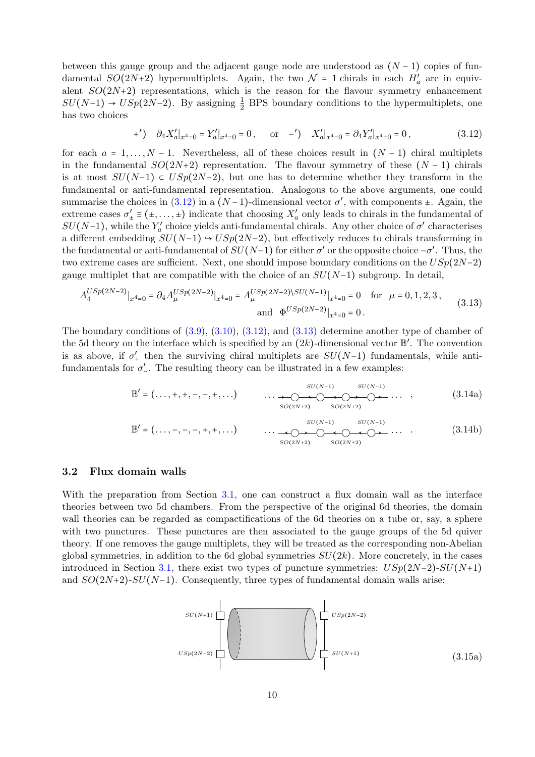between this gauge group and the adjacent gauge node are understood as  $(N-1)$  copies of fundamental  $SO(2N+2)$  hypermultiplets. Again, the two  $\mathcal{N}=1$  chirals in each  $H'_a$  are in equivalent  $SO(2N+2)$  representations, which is the reason for the flavour symmetry enhancement  $SU(N-1) \rightarrow USp(2N-2)$ . By assigning  $\frac{1}{2}$  BPS boundary conditions to the hypermultiplets, one has two choices

<span id="page-10-1"></span>
$$
(*)\quad \partial_4 X'_a|_{x^4=0} = Y'_a|_{x^4=0} = 0\,, \quad \text{or} \quad -')\quad X'_a|_{x^4=0} = \partial_4 Y'_a|_{x^4=0} = 0\,,\tag{3.12}
$$

for each  $a = 1, \ldots, N - 1$ . Nevertheless, all of these choices result in  $(N - 1)$  chiral multiplets in the fundamental  $SO(2N+2)$  representation. The flavour symmetry of these  $(N-1)$  chirals is at most  $SU(N-1) \subset USp(2N-2)$ , but one has to determine whether they transform in the fundamental or anti-fundamental representation. Analogous to the above arguments, one could summarise the choices in  $(3.12)$  in a  $(N-1)$ -dimensional vector  $\sigma'$ , with components  $\pm$ . Again, the extreme cases  $\sigma'_{\pm} \equiv (\pm, \dots, \pm)$  indicate that choosing  $X'_{a}$  only leads to chirals in the fundamental of  $SU(N-1)$ , while the  $Y'_a$  choice yields anti-fundamental chirals. Any other choice of  $\sigma'$  characterises a different embedding  $SU(N-1)$  →  $USp(2N-2)$ , but effectively reduces to chirals transforming in the fundamental or anti-fundamental of  $SU(N-1)$  for either  $\sigma'$  or the opposite choice  $-\sigma'$ . Thus, the two extreme cases are sufficient. Next, one should impose boundary conditions on the  $USp(2N-2)$ gauge multiplet that are compatible with the choice of an  $SU(N-1)$  subgroup. In detail,

<span id="page-10-2"></span>
$$
A_4^{USp(2N-2)}|_{x^4=0} = \partial_4 A_\mu^{USp(2N-2)}|_{x^4=0} = A_\mu^{USp(2N-2)\setminus SU(N-1)}|_{x^4=0} = 0 \quad \text{for } \mu = 0, 1, 2, 3,
$$
\nand\n
$$
\Phi^{USp(2N-2)}|_{x^4=0} = 0.
$$
\n(3.13)

The boundary conditions of [\(3.9\)](#page-9-2), [\(3.10\)](#page-9-3), [\(3.12\)](#page-10-1), and [\(3.13\)](#page-10-2) determine another type of chamber of the 5d theory on the interface which is specified by an  $(2k)$ -dimensional vector  $\mathbb{B}'$ . The convention is as above, if  $\sigma'_+$  then the surviving chiral multiplets are  $SU(N-1)$  fundamentals, while antifundamentals for  $\sigma'$ . The resulting theory can be illustrated in a few examples:

$$
\mathbb{B}' = (\ldots, +, +, -, -, +, \ldots) \qquad \qquad \ldots \longrightarrow \bigcirc \longrightarrow \bigcirc \longrightarrow \bigcirc \longrightarrow \bigcirc \longrightarrow \bigcirc \longrightarrow \ldots \qquad ,
$$
\n
$$
\text{SO}(2N+2) \qquad \text{SO}(2N+2) \qquad \text{SO}(2N+2) \qquad \qquad \text{(3.14a)}
$$

$$
\mathbb{B}' = (\ldots, -, -, -, +, +, \ldots) \qquad \qquad \ldots \qquad \qquad \underbrace{\qquad \qquad SU(N-1)}_{SO(2N+2)} \qquad \qquad SU(N-1) \qquad \qquad SU(N-1) \qquad \qquad \qquad (3.14b)
$$

### <span id="page-10-0"></span>3.2 Flux domain walls

With the preparation from Section [3.1,](#page-8-1) one can construct a flux domain wall as the interface theories between two 5d chambers. From the perspective of the original 6d theories, the domain wall theories can be regarded as compactifications of the 6d theories on a tube or, say, a sphere with two punctures. These punctures are then associated to the gauge groups of the 5d quiver theory. If one removes the gauge multiplets, they will be treated as the corresponding non-Abelian global symmetries, in addition to the 6d global symmetries  $SU(2k)$ . More concretely, in the cases introduced in Section [3.1,](#page-8-1) there exist two types of puncture symmetries:  $USp(2N-2)$ - $SU(N+1)$ and  $SO(2N+2)$ - $SU(N-1)$ . Consequently, three types of fundamental domain walls arise:

<span id="page-10-4"></span><span id="page-10-3"></span>
$$
USp(2N-2)
$$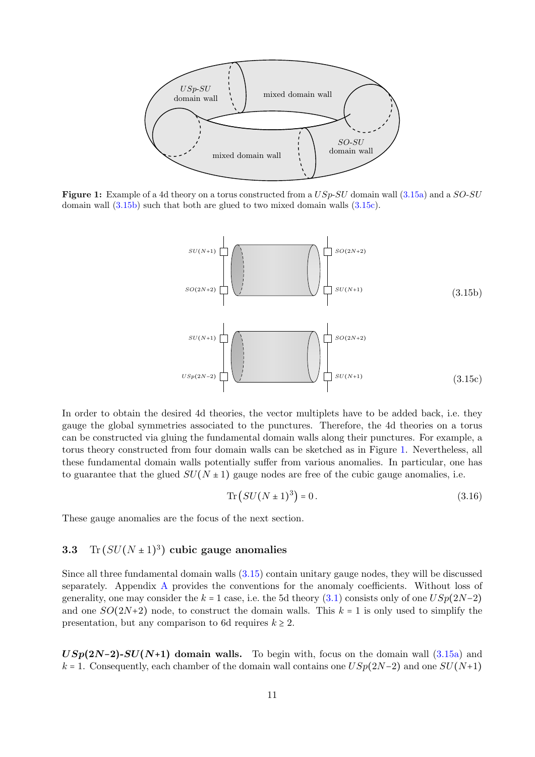<span id="page-11-3"></span>

Figure 1: Example of a 4d theory on a torus constructed from a  $USp\text{-}SU$  domain wall [\(3.15a\)](#page-10-3) and a  $SO\text{-}SU$ domain wall [\(3.15b\)](#page-11-1) such that both are glued to two mixed domain walls [\(3.15c\)](#page-11-2).

<span id="page-11-1"></span>

In order to obtain the desired 4d theories, the vector multiplets have to be added back, i.e. they gauge the global symmetries associated to the punctures. Therefore, the 4d theories on a torus can be constructed via gluing the fundamental domain walls along their punctures. For example, a torus theory constructed from four domain walls can be sketched as in Figure [1.](#page-11-3) Nevertheless, all these fundamental domain walls potentially suffer from various anomalies. In particular, one has to guarantee that the glued  $SU(N \pm 1)$  gauge nodes are free of the cubic gauge anomalies, i.e.

<span id="page-11-2"></span>
$$
\text{Tr}\left(SU(N\pm 1)^3\right) = 0\,. \tag{3.16}
$$

These gauge anomalies are the focus of the next section.

# <span id="page-11-0"></span>3.3 Tr  $(SU(N \pm 1)^3)$  cubic gauge anomalies

Since all three fundamental domain walls [\(3.15\)](#page-10-4) contain unitary gauge nodes, they will be discussed separately. Appendix [A](#page-30-1) provides the conventions for the anomaly coefficients. Without loss of generality, one may consider the k = 1 case, i.e. the 5d theory [\(3.1\)](#page-8-5) consists only of one  $USp(2N-2)$ and one  $SO(2N+2)$  node, to construct the domain walls. This  $k = 1$  is only used to simplify the presentation, but any comparison to 6d requires  $k \geq 2$ .

 $USp(2N-2)$ - $SU(N+1)$  domain walls. To begin with, focus on the domain wall [\(3.15a\)](#page-10-3) and k = 1. Consequently, each chamber of the domain wall contains one  $USp(2N-2)$  and one  $SU(N+1)$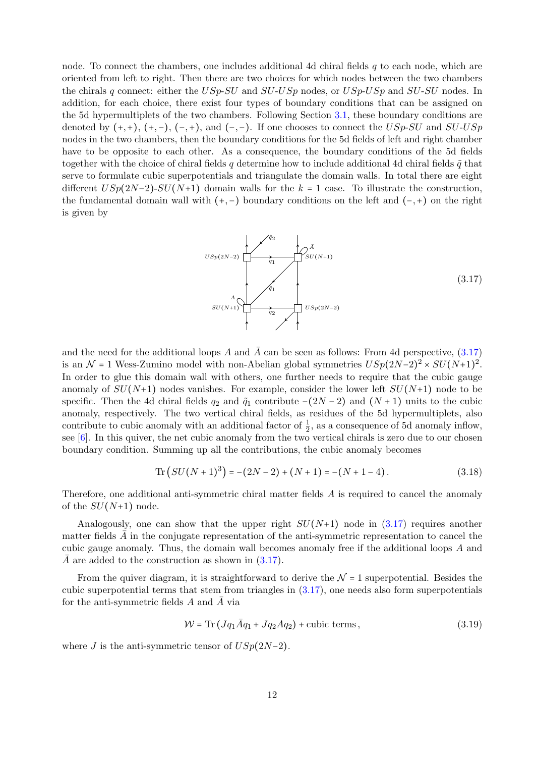node. To connect the chambers, one includes additional 4d chiral fields  $q$  to each node, which are oriented from left to right. Then there are two choices for which nodes between the two chambers the chirals q connect: either the  $USp$ - $SU$  and  $SU$ - $USp$  nodes, or  $USp$ - $USp$  and  $SU$ - $SU$  nodes. In addition, for each choice, there exist four types of boundary conditions that can be assigned on the 5d hypermultiplets of the two chambers. Following Section [3.1,](#page-8-1) these boundary conditions are denoted by  $(+, +), (+, -), (-, +),$  and  $(-, -)$ . If one chooses to connect the USp-SU and SU-USp nodes in the two chambers, then the boundary conditions for the 5d fields of left and right chamber have to be opposite to each other. As a consequence, the boundary conditions of the 5d fields together with the choice of chiral fields q determine how to include additional 4d chiral fields  $\tilde{q}$  that serve to formulate cubic superpotentials and triangulate the domain walls. In total there are eight different  $USp(2N-2)$ - $SU(N+1)$  domain walls for the k = 1 case. To illustrate the construction, the fundamental domain wall with (+,−) boundary conditions on the left and (−,+) on the right is given by

<span id="page-12-0"></span>
$$
USp(2N-2)
$$
\n
$$
SU(N+1)
$$
\n
$$
SU(N+1)
$$
\n
$$
USp(2N-2)
$$
\n
$$
USp(2N-2)
$$
\n(3.17)

and the need for the additional loops A and  $\overline{A}$  can be seen as follows: From 4d perspective, [\(3.17\)](#page-12-0) is an  $\mathcal{N}$  = 1 Wess-Zumino model with non-Abelian global symmetries  $USp(2N-2)^2 \times SU(N+1)^2$ . In order to glue this domain wall with others, one further needs to require that the cubic gauge anomaly of  $SU(N+1)$  nodes vanishes. For example, consider the lower left  $SU(N+1)$  node to be specific. Then the 4d chiral fields  $q_2$  and  $\tilde{q}_1$  contribute −(2N − 2) and (N + 1) units to the cubic anomaly, respectively. The two vertical chiral fields, as residues of the 5d hypermultiplets, also contribute to cubic anomaly with an additional factor of  $\frac{1}{2}$ , as a consequence of 5d anomaly inflow, see [\[6\]](#page-32-5). In this quiver, the net cubic anomaly from the two vertical chirals is zero due to our chosen boundary condition. Summing up all the contributions, the cubic anomaly becomes

$$
\operatorname{Tr}\left(SU(N+1)^3\right) = -(2N-2) + (N+1) = -(N+1-4). \tag{3.18}
$$

Therefore, one additional anti-symmetric chiral matter fields A is required to cancel the anomaly of the  $SU(N+1)$  node.

Analogously, one can show that the upper right  $SU(N+1)$  node in [\(3.17\)](#page-12-0) requires another matter fields  $A$  in the conjugate representation of the anti-symmetric representation to cancel the cubic gauge anomaly. Thus, the domain wall becomes anomaly free if the additional loops A and A are added to the construction as shown in  $(3.17)$ .

From the quiver diagram, it is straightforward to derive the  $\mathcal{N} = 1$  superpotential. Besides the cubic superpotential terms that stem from triangles in  $(3.17)$ , one needs also form superpotentials for the anti-symmetric fields  $A$  and  $A$  via

<span id="page-12-1"></span>
$$
\mathcal{W} = \text{Tr}\left(Jq_1\overline{A}q_1 + Jq_2Aq_2\right) + \text{cubic terms},\tag{3.19}
$$

where J is the anti-symmetric tensor of  $USp(2N-2)$ .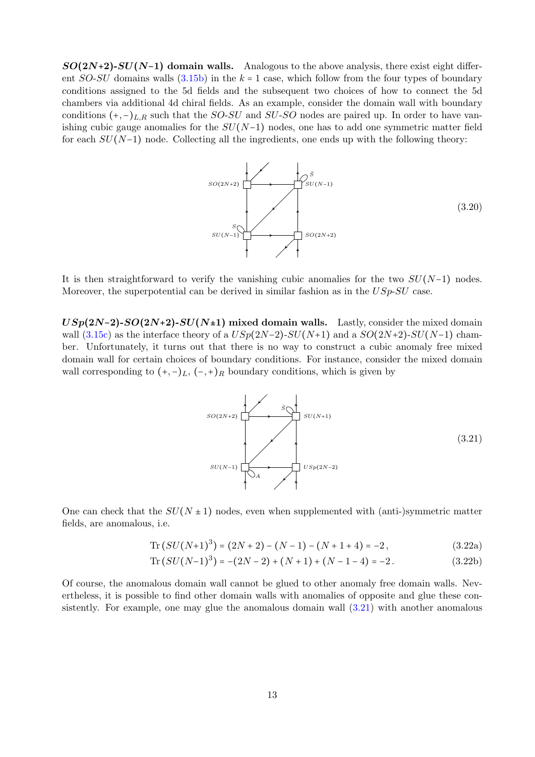$SO(2N+2)$ - $SU(N-1)$  domain walls. Analogous to the above analysis, there exist eight different  $SO-SU$  domains walls  $(3.15b)$  in the  $k = 1$  case, which follow from the four types of boundary conditions assigned to the 5d fields and the subsequent two choices of how to connect the 5d chambers via additional 4d chiral fields. As an example, consider the domain wall with boundary conditions  $(+,-)_{L,R}$  such that the SO-SU and SU-SO nodes are paired up. In order to have vanishing cubic gauge anomalies for the  $SU(N-1)$  nodes, one has to add one symmetric matter field for each  $SU(N-1)$  node. Collecting all the ingredients, one ends up with the following theory:

<span id="page-13-1"></span>

It is then straightforward to verify the vanishing cubic anomalies for the two  $SU(N-1)$  nodes. Moreover, the superpotential can be derived in similar fashion as in the  $USp-SU$  case.

 $USp(2N-2)$ - $SO(2N+2)$ - $SU(N+1)$  mixed domain walls. Lastly, consider the mixed domain wall [\(3.15c\)](#page-11-2) as the interface theory of a  $USp(2N-2)$ - $SU(N+1)$  and a  $SO(2N+2)$ - $SU(N-1)$  chamber. Unfortunately, it turns out that there is no way to construct a cubic anomaly free mixed domain wall for certain choices of boundary conditions. For instance, consider the mixed domain wall corresponding to  $(+,-)_L$ ,  $(-,+)_R$  boundary conditions, which is given by

<span id="page-13-0"></span>

One can check that the  $SU(N \pm 1)$  nodes, even when supplemented with (anti-)symmetric matter fields, are anomalous, i.e.

$$
\operatorname{Tr}\left(SU(N+1)^3\right) = (2N+2) - (N-1) - (N+1+4) = -2,\tag{3.22a}
$$

$$
\text{Tr}\left(SU(N-1)^3\right) = -(2N-2) + (N+1) + (N-1-4) = -2. \tag{3.22b}
$$

Of course, the anomalous domain wall cannot be glued to other anomaly free domain walls. Nevertheless, it is possible to find other domain walls with anomalies of opposite and glue these consistently. For example, one may glue the anomalous domain wall [\(3.21\)](#page-13-0) with another anomalous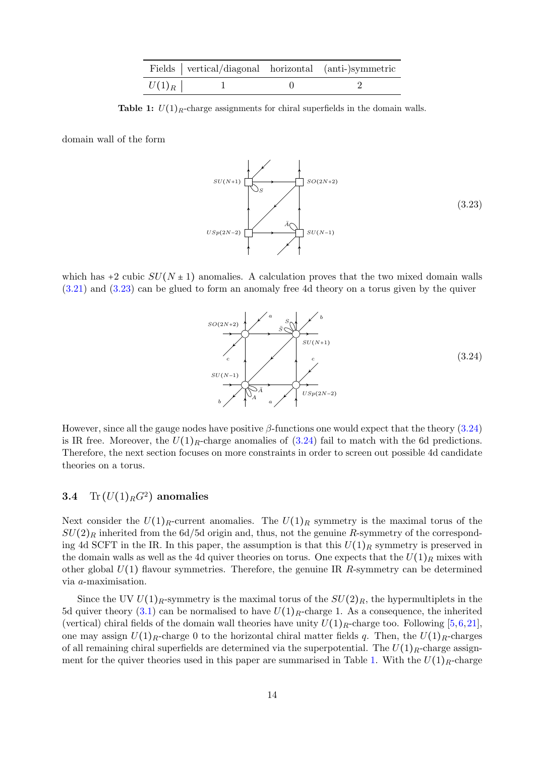|          | Fields vertical/diagonal horizontal (anti-)symmetric |  |
|----------|------------------------------------------------------|--|
| $U(1)_R$ |                                                      |  |

<span id="page-14-3"></span>**Table 1:**  $U(1)_R$ -charge assignments for chiral superfields in the domain walls.

domain wall of the form

<span id="page-14-1"></span>

which has +2 cubic  $SU(N \pm 1)$  anomalies. A calculation proves that the two mixed domain walls [\(3.21\)](#page-13-0) and [\(3.23\)](#page-14-1) can be glued to form an anomaly free 4d theory on a torus given by the quiver

<span id="page-14-2"></span>

However, since all the gauge nodes have positive  $\beta$ -functions one would expect that the theory [\(3.24\)](#page-14-2) is IR free. Moreover, the  $U(1)<sub>R</sub>$ -charge anomalies of [\(3.24\)](#page-14-2) fail to match with the 6d predictions. Therefore, the next section focuses on more constraints in order to screen out possible 4d candidate theories on a torus.

# <span id="page-14-0"></span>3.4  $\text{Tr} (U(1)_R G^2)$  anomalies

Next consider the  $U(1)_R$ -current anomalies. The  $U(1)_R$  symmetry is the maximal torus of the  $SU(2)_R$  inherited from the 6d/5d origin and, thus, not the genuine R-symmetry of the corresponding 4d SCFT in the IR. In this paper, the assumption is that this  $U(1)_R$  symmetry is preserved in the domain walls as well as the 4d quiver theories on torus. One expects that the  $U(1)_R$  mixes with other global  $U(1)$  flavour symmetries. Therefore, the genuine IR R-symmetry can be determined via a-maximisation.

Since the UV  $U(1)_R$ -symmetry is the maximal torus of the  $SU(2)_R$ , the hypermultiplets in the 5d quiver theory [\(3.1\)](#page-8-5) can be normalised to have  $U(1)_R$ -charge 1. As a consequence, the inherited (vertical) chiral fields of the domain wall theories have unity  $U(1)_R$ -charge too. Following [\[5,](#page-32-11)[6,](#page-32-5)[21\]](#page-33-7), one may assign  $U(1)_R$ -charge 0 to the horizontal chiral matter fields q. Then, the  $U(1)_R$ -charges of all remaining chiral superfields are determined via the superpotential. The  $U(1)_R$ -charge assign-ment for the quiver theories used in this paper are summarised in Table [1.](#page-14-3) With the  $U(1)_R$ -charge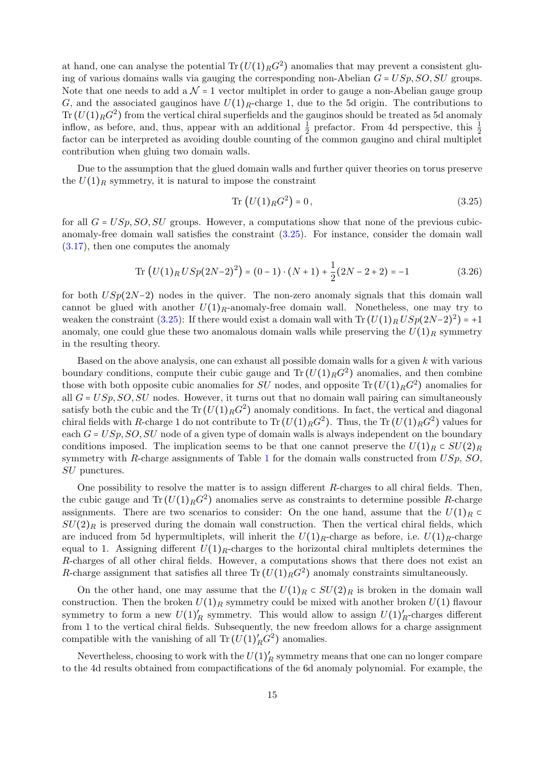at hand, one can analyse the potential  $\text{Tr} (U(1)_{R} G^{2})$  anomalies that may prevent a consistent gluing of various domains walls via gauging the corresponding non-Abelian  $G = USp$ ,  $SO$ ,  $SU$  groups. Note that one needs to add a  $\mathcal{N} = 1$  vector multiplet in order to gauge a non-Abelian gauge group G, and the associated gauginos have  $U(1)_R$ -charge 1, due to the 5d origin. The contributions to  $\text{Tr}\left(U(1)_RG^2\right)$  from the vertical chiral superfields and the gauginos should be treated as 5d anomaly inflow, as before, and, thus, appear with an additional  $\frac{1}{2}$  prefactor. From 4d perspective, this  $\frac{1}{2}$ factor can be interpreted as avoiding double counting of the common gaugino and chiral multiplet contribution when gluing two domain walls.

Due to the assumption that the glued domain walls and further quiver theories on torus preserve the  $U(1)_R$  symmetry, it is natural to impose the constraint

<span id="page-15-1"></span><span id="page-15-0"></span>
$$
\text{Tr}\left(U(1)_R G^2\right) = 0\,,\tag{3.25}
$$

for all  $G = USp, SO, SU$  groups. However, a computations show that none of the previous cubicanomaly-free domain wall satisfies the constraint [\(3.25\)](#page-15-0). For instance, consider the domain wall [\(3.17\)](#page-12-0), then one computes the anomaly

Tr 
$$
(U(1)_R USp(2N-2)^2) = (0-1) \cdot (N+1) + \frac{1}{2}(2N-2+2) = -1
$$
 (3.26)

for both  $USp(2N-2)$  nodes in the quiver. The non-zero anomaly signals that this domain wall cannot be glued with another  $U(1)<sub>R</sub>$ -anomaly-free domain wall. Nonetheless, one may try to weaken the constraint [\(3.25\)](#page-15-0): If there would exist a domain wall with  $\text{Tr}(U(1)_R USp(2N-2)^2) = +1$ anomaly, one could glue these two anomalous domain walls while preserving the  $U(1)<sub>R</sub>$  symmetry in the resulting theory.

Based on the above analysis, one can exhaust all possible domain walls for a given  $k$  with various boundary conditions, compute their cubic gauge and  $\text{Tr}(U(1)_R G^2)$  anomalies, and then combine those with both opposite cubic anomalies for SU nodes, and opposite  $\text{Tr}(U(1)_R G^2)$  anomalies for all  $G = USp, SO, SU$  nodes. However, it turns out that no domain wall pairing can simultaneously satisfy both the cubic and the Tr  $(U(1)<sub>R</sub> G<sup>2</sup>)$  anomaly conditions. In fact, the vertical and diagonal chiral fields with R-charge 1 do not contribute to  $\text{Tr}\,(U(1)_RG^2)$ . Thus, the  $\text{Tr}\,(U(1)_RG^2)$  values for each  $G = USp, SO, SU$  node of a given type of domain walls is always independent on the boundary conditions imposed. The implication seems to be that one cannot preserve the  $U(1)_R \subset SU(2)_R$ symmetry with R-charge assignments of Table [1](#page-14-3) for the domain walls constructed from  $USp$ ,  $SO$ , SU punctures.

One possibility to resolve the matter is to assign different  $R$ -charges to all chiral fields. Then, the cubic gauge and  $\text{Tr}(U(1)_R G^2)$  anomalies serve as constraints to determine possible R-charge assignments. There are two scenarios to consider: On the one hand, assume that the  $U(1)<sub>R</sub>$  $SU(2)_R$  is preserved during the domain wall construction. Then the vertical chiral fields, which are induced from 5d hypermultiplets, will inherit the  $U(1)_R$ -charge as before, i.e.  $U(1)_R$ -charge equal to 1. Assigning different  $U(1)<sub>R</sub>$ -charges to the horizontal chiral multiplets determines the R-charges of all other chiral fields. However, a computations shows that there does not exist an R-charge assignment that satisfies all three  $\text{Tr}\left(U(1)_R G^2\right)$  anomaly constraints simultaneously.

On the other hand, one may assume that the  $U(1)_R \subset SU(2)_R$  is broken in the domain wall construction. Then the broken  $U(1)_R$  symmetry could be mixed with another broken  $U(1)$  flavour symmetry to form a new  $U(1)'_R$  symmetry. This would allow to assign  $U(1)'_R$ -charges different from 1 to the vertical chiral fields. Subsequently, the new freedom allows for a charge assignment compatible with the vanishing of all  $\text{Tr}(U(1)_{R}'G^{2})$  anomalies.

Nevertheless, choosing to work with the  $U(1)'_R$  symmetry means that one can no longer compare to the 4d results obtained from compactifications of the 6d anomaly polynomial. For example, the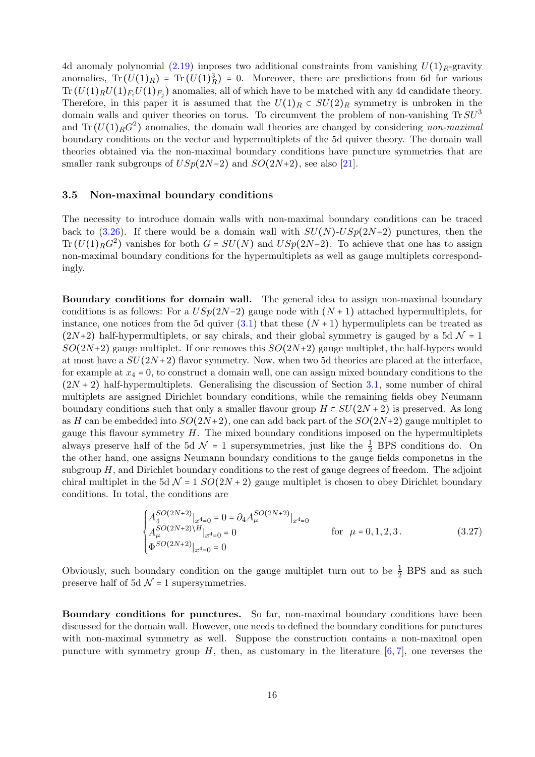4d anomaly polynomial [\(2.19\)](#page-6-0) imposes two additional constraints from vanishing  $U(1)<sub>R</sub>$ -gravity anomalies,  $Tr(U(1)_R) = Tr(U(1)_R^3) = 0$ . Moreover, there are predictions from 6d for various  $\text{Tr}\left(U(1)_R U(1)_{F_i} U(1)_{F_j}\right)$  anomalies, all of which have to be matched with any 4d candidate theory. Therefore, in this paper it is assumed that the  $U(1)_R \subset SU(2)_R$  symmetry is unbroken in the domain walls and quiver theories on torus. To circumvent the problem of non-vanishing  $Tr SU<sup>3</sup>$ and  $\text{Tr}(U(1)_R G^2)$  anomalies, the domain wall theories are changed by considering non-maximal boundary conditions on the vector and hypermultiplets of the 5d quiver theory. The domain wall theories obtained via the non-maximal boundary conditions have puncture symmetries that are smaller rank subgroups of  $USp(2N-2)$  and  $SO(2N+2)$ , see also [\[21\]](#page-33-7).

## <span id="page-16-0"></span>3.5 Non-maximal boundary conditions

The necessity to introduce domain walls with non-maximal boundary conditions can be traced back to [\(3.26\)](#page-15-1). If there would be a domain wall with  $SU(N)$ - $USp(2N-2)$  punctures, then the Tr  $(U(1)<sub>R</sub> G<sup>2</sup>)$  vanishes for both  $G = SU(N)$  and  $USp(2N-2)$ . To achieve that one has to assign non-maximal boundary conditions for the hypermultiplets as well as gauge multiplets correspondingly.

Boundary conditions for domain wall. The general idea to assign non-maximal boundary conditions is as follows: For a  $USp(2N-2)$  gauge node with  $(N + 1)$  attached hypermultiplets, for instance, one notices from the 5d quiver  $(3.1)$  that these  $(N + 1)$  hypermuliplets can be treated as  $(2N+2)$  half-hypermultiplets, or say chirals, and their global symmetry is gauged by a 5d  $\mathcal{N} = 1$  $SO(2N+2)$  gauge multiplet. If one removes this  $SO(2N+2)$  gauge multiplet, the half-hypers would at most have a  $SU(2N+2)$  flavor symmetry. Now, when two 5d theories are placed at the interface, for example at  $x_4 = 0$ , to construct a domain wall, one can assign mixed boundary conditions to the  $(2N + 2)$  half-hypermultiplets. Generalising the discussion of Section [3.1,](#page-8-1) some number of chiral multiplets are assigned Dirichlet boundary conditions, while the remaining fields obey Neumann boundary conditions such that only a smaller flavour group  $H \subset SU(2N+2)$  is preserved. As long as H can be embedded into  $SO(2N+2)$ , one can add back part of the  $SO(2N+2)$  gauge multiplet to gauge this flavour symmetry  $H$ . The mixed boundary conditions imposed on the hypermultiplets always preserve half of the 5d  $\mathcal{N} = 1$  supersymmetries, just like the  $\frac{1}{2}$  BPS conditions do. On the other hand, one assigns Neumann boundary conditions to the gauge fields componetns in the subgroup  $H$ , and Dirichlet boundary conditions to the rest of gauge degrees of freedom. The adjoint chiral multiplet in the 5d  $\mathcal{N} = 1$   $SO(2N + 2)$  gauge multiplet is chosen to obey Dirichlet boundary conditions. In total, the conditions are

$$
\begin{cases}\nA_4^{SO(2N+2)}|_{x^4=0} = 0 = \partial_4 A_\mu^{SO(2N+2)}|_{x^4=0} \\
A_\mu^{SO(2N+2)\H} |_{x^4=0} = 0\n\end{cases}
$$
 for  $\mu = 0, 1, 2, 3$ . (3.27)  
\n
$$
\Phi^{SO(2N+2)}|_{x^4=0} = 0
$$

Obviously, such boundary condition on the gauge multiplet turn out to be  $\frac{1}{2}$  BPS and as such preserve half of 5d  $\mathcal{N}$  = 1 supersymmetries.

Boundary conditions for punctures. So far, non-maximal boundary conditions have been discussed for the domain wall. However, one needs to defined the boundary conditions for punctures with non-maximal symmetry as well. Suppose the construction contains a non-maximal open puncture with symmetry group H, then, as customary in the literature  $[6, 7]$  $[6, 7]$  $[6, 7]$ , one reverses the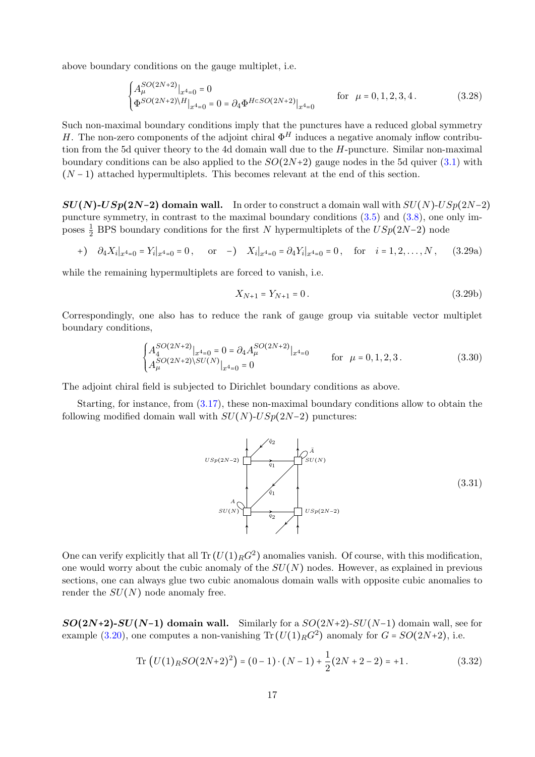above boundary conditions on the gauge multiplet, i.e.

$$
\begin{cases} A_{\mu}^{SO(2N+2)}|_{x^4=0}=0\\ \Phi^{SO(2N+2)\backslash H}|_{x^4=0}=0=\partial_4\Phi^{H\subset SO(2N+2)}|_{x^4=0} \end{cases} \qquad \text{for} \ \mu=0,1,2,3,4 \,. \eqno{(3.28)}
$$

Such non-maximal boundary conditions imply that the punctures have a reduced global symmetry H. The non-zero components of the adjoint chiral  $\Phi^H$  induces a negative anomaly inflow contribution from the 5d quiver theory to the 4d domain wall due to the H-puncture. Similar non-maximal boundary conditions can be also applied to the  $SO(2N+2)$  gauge nodes in the 5d quiver  $(3.1)$  with  $(N-1)$  attached hypermultiplets. This becomes relevant at the end of this section.

 $SU(N)$ - $USp(2N-2)$  domain wall. In order to construct a domain wall with  $SU(N)$ - $USp(2N-2)$ puncture symmetry, in contrast to the maximal boundary conditions [\(3.5\)](#page-8-4) and [\(3.8\)](#page-9-4), one only imposes  $\frac{1}{2}$  BPS boundary conditions for the first N hypermultiplets of the  $USp(2N-2)$  node

$$
+ ) \quad \partial_4 X_i|_{x^4=0} = Y_i|_{x^4=0} = 0 \,, \qquad \text{or} \quad - ) \quad X_i|_{x^4=0} = \partial_4 Y_i|_{x^4=0} = 0 \,, \quad \text{for} \quad i = 1, 2, \dots, N \,, \tag{3.29a}
$$

while the remaining hypermultiplets are forced to vanish, i.e.

<span id="page-17-0"></span>
$$
X_{N+1} = Y_{N+1} = 0.
$$
\n(3.29b)

Correspondingly, one also has to reduce the rank of gauge group via suitable vector multiplet boundary conditions,

$$
\begin{cases}\nA_4^{SO(2N+2)}|_{x^4=0} = 0 = \partial_4 A_\mu^{SO(2N+2)}|_{x^4=0} & \text{for } \mu = 0, 1, 2, 3. \\
A_\mu^{SO(2N+2)\setminus SU(N)}|_{x^4=0} = 0 & \text{for } \mu = 0, 1, 2, 3.\n\end{cases}
$$
\n(3.30)

The adjoint chiral field is subjected to Dirichlet boundary conditions as above.

Starting, for instance, from [\(3.17\)](#page-12-0), these non-maximal boundary conditions allow to obtain the following modified domain wall with  $SU(N)$ - $USp(2N-2)$  punctures:



One can verify explicitly that all  $\text{Tr}\left(U(1)_R G^2\right)$  anomalies vanish. Of course, with this modification, one would worry about the cubic anomaly of the  $SU(N)$  nodes. However, as explained in previous sections, one can always glue two cubic anomalous domain walls with opposite cubic anomalies to render the  $SU(N)$  node anomaly free.

 $SO(2N+2)$ - $SU(N-1)$  domain wall. Similarly for a  $SO(2N+2)$ - $SU(N-1)$  domain wall, see for example [\(3.20\)](#page-13-1), one computes a non-vanishing  $\text{Tr}(U(1)_R G^2)$  anomaly for  $G = SO(2N+2)$ , i.e.

Tr 
$$
(U(1)_R SO(2N+2)^2) = (0-1) \cdot (N-1) + \frac{1}{2}(2N+2-2) = +1.
$$
 (3.32)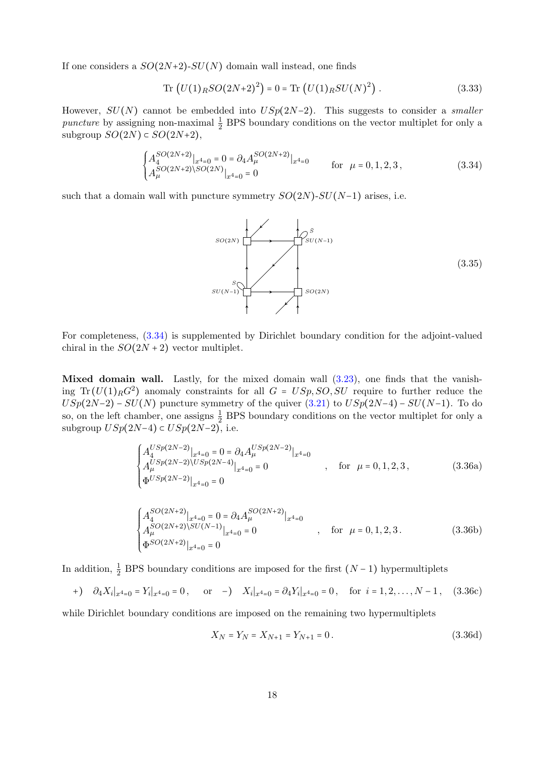If one considers a  $SO(2N+2)$ - $SU(N)$  domain wall instead, one finds

$$
\text{Tr}\left(U(1)_R SO(2N+2)^2\right) = 0 = \text{Tr}\left(U(1)_R SU(N)^2\right). \tag{3.33}
$$

However,  $SU(N)$  cannot be embedded into  $USp(2N-2)$ . This suggests to consider a *smaller* puncture by assigning non-maximal  $\frac{1}{2}$  BPS boundary conditions on the vector multiplet for only a subgroup  $SO(2N) \subset SO(2N+2)$ ,

$$
\begin{cases}\nA_4^{SO(2N+2)}|_{x^4=0} = 0 = \partial_4 A_\mu^{SO(2N+2)}|_{x^4=0} & \text{for } \mu = 0, 1, 2, 3, \\
A_\mu^{SO(2N+2)\setminus SO(2N)}|_{x^4=0} = 0 & \text{for } \mu = 0, 1, 2, 3,\n\end{cases}
$$
\n(3.34)

such that a domain wall with puncture symmetry  $SO(2N)$ - $SU(N-1)$  arises, i.e.

<span id="page-18-0"></span>

For completeness, [\(3.34\)](#page-18-0) is supplemented by Dirichlet boundary condition for the adjoint-valued chiral in the  $SO(2N+2)$  vector multiplet.

Mixed domain wall. Lastly, for the mixed domain wall  $(3.23)$ , one finds that the vanishing Tr  $(U(1)<sub>R</sub> G<sup>2</sup>)$  anomaly constraints for all  $G = USp, SO, SU$  require to further reduce the  $USp(2N-2) - SU(N)$  puncture symmetry of the quiver  $(3.21)$  to  $USp(2N-4) - SU(N-1)$ . To do so, on the left chamber, one assigns  $\frac{1}{2}$  BPS boundary conditions on the vector multiplet for only a subgroup  $USp(2N-4) \subset USp(2N-2)$ , i.e.

$$
\begin{cases}\nA_4^{USp(2N-2)}|_{x^4=0} = 0 = \partial_4 A_\mu^{USp(2N-2)}|_{x^4=0} \\
A_\mu^{USp(2N-2)\setminus USp(2N-4)}|_{x^4=0} = 0 \n\end{cases}
$$
, for  $\mu = 0, 1, 2, 3$ , (3.36a)  
\n
$$
\Phi^{USp(2N-2)}|_{x^4=0} = 0
$$

$$
\begin{cases}\nA_4^{SO(2N+2)}|_{x^4=0} = 0 = \partial_4 A_\mu^{SO(2N+2)}|_{x^4=0} \\
A_\mu^{SO(2N+2)\setminus SU(N-1)}|_{x^4=0} = 0\n\end{cases}
$$
, for  $\mu = 0, 1, 2, 3$ . (3.36b)  
\n
$$
\Phi^{SO(2N+2)}|_{x^4=0} = 0
$$

In addition,  $\frac{1}{2}$  BPS boundary conditions are imposed for the first  $(N-1)$  hypermultiplets

$$
+)\quad \partial_4 X_i|_{x^4=0} = Y_i|_{x^4=0} = 0\,,\qquad \text{or}\quad -) \quad X_i|_{x^4=0} = \partial_4 Y_i|_{x^4=0} = 0\,,\quad \text{for}\ \ i = 1, 2, \dots, N-1\,,\tag{3.36c}
$$

while Dirichlet boundary conditions are imposed on the remaining two hypermultiplets

$$
X_N = Y_N = X_{N+1} = Y_{N+1} = 0.
$$
\n(3.36d)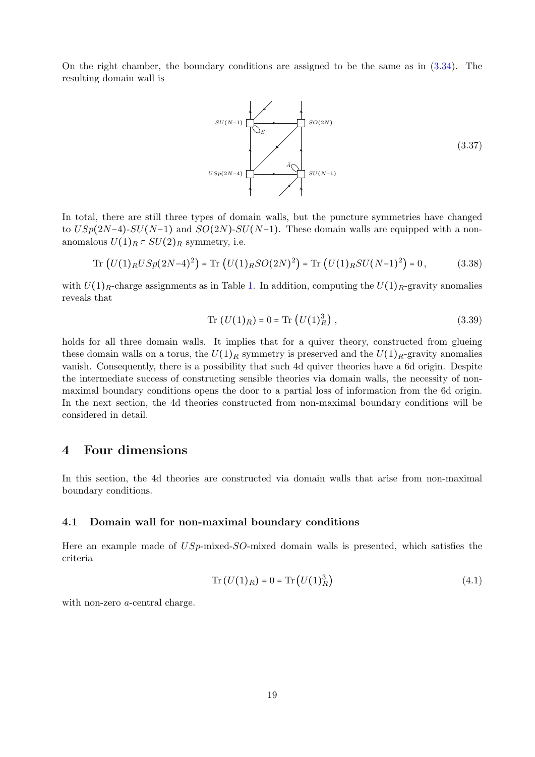On the right chamber, the boundary conditions are assigned to be the same as in [\(3.34\)](#page-18-0). The resulting domain wall is



In total, there are still three types of domain walls, but the puncture symmetries have changed to  $USp(2N-4)$ - $SU(N-1)$  and  $SO(2N)$ - $SU(N-1)$ . These domain walls are equipped with a nonanomalous  $U(1)_R \subset SU(2)_R$  symmetry, i.e.

Tr 
$$
(U(1)_R USp(2N-4)^2)
$$
 = Tr  $(U(1)_R SO(2N)^2)$  = Tr  $(U(1)_R SU(N-1)^2)$  = 0, (3.38)

with  $U(1)_R$ -charge assignments as in Table [1.](#page-14-3) In addition, computing the  $U(1)_R$ -gravity anomalies reveals that

$$
Tr (U(1)_R) = 0 = Tr (U(1)_R^3), \qquad (3.39)
$$

holds for all three domain walls. It implies that for a quiver theory, constructed from glueing these domain walls on a torus, the  $U(1)_R$  symmetry is preserved and the  $U(1)_R$ -gravity anomalies vanish. Consequently, there is a possibility that such 4d quiver theories have a 6d origin. Despite the intermediate success of constructing sensible theories via domain walls, the necessity of nonmaximal boundary conditions opens the door to a partial loss of information from the 6d origin. In the next section, the 4d theories constructed from non-maximal boundary conditions will be considered in detail.

# <span id="page-19-0"></span>4 Four dimensions

In this section, the 4d theories are constructed via domain walls that arise from non-maximal boundary conditions.

### <span id="page-19-1"></span>4.1 Domain wall for non-maximal boundary conditions

Here an example made of  $USp$ -mixed- $SO$ -mixed domain walls is presented, which satisfies the criteria

$$
Tr(U(1)R) = 0 = Tr(U(1)R3)
$$
\n(4.1)

with non-zero *a*-central charge.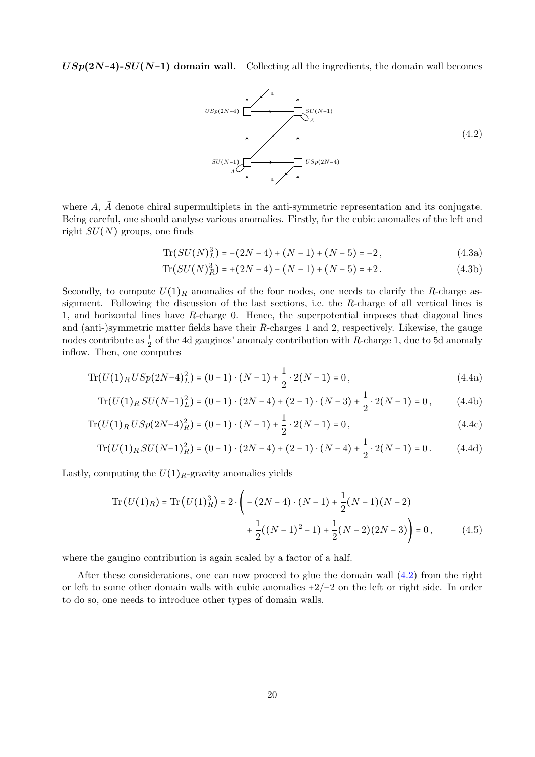$USp(2N-4)$ - $SU(N-1)$  domain wall. Collecting all the ingredients, the domain wall becomes

<span id="page-20-0"></span>

where  $A, \overline{A}$  denote chiral supermultiplets in the anti-symmetric representation and its conjugate. Being careful, one should analyse various anomalies. Firstly, for the cubic anomalies of the left and right  $SU(N)$  groups, one finds

$$
\text{Tr}(SU(N)^3_L) = -(2N-4) + (N-1) + (N-5) = -2, \tag{4.3a}
$$

$$
\text{Tr}(SU(N)_R^3) = +(2N-4) - (N-1) + (N-5) = +2. \tag{4.3b}
$$

Secondly, to compute  $U(1)_R$  anomalies of the four nodes, one needs to clarify the R-charge assignment. Following the discussion of the last sections, i.e. the R-charge of all vertical lines is 1, and horizontal lines have R-charge 0. Hence, the superpotential imposes that diagonal lines and (anti-)symmetric matter fields have their  $R$ -charges 1 and 2, respectively. Likewise, the gauge nodes contribute as  $\frac{1}{2}$  of the 4d gauginos' anomaly contribution with R-charge 1, due to 5d anomaly inflow. Then, one computes

$$
\operatorname{Tr}(U(1)_R USp(2N-4)_L^2) = (0-1) \cdot (N-1) + \frac{1}{2} \cdot 2(N-1) = 0, \tag{4.4a}
$$

$$
\operatorname{Tr}(U(1)_R SU(N-1)_L^2) = (0-1) \cdot (2N-4) + (2-1) \cdot (N-3) + \frac{1}{2} \cdot 2(N-1) = 0, \tag{4.4b}
$$

$$
\operatorname{Tr}(U(1)_R \, USp(2N-4)_R^2) = (0-1) \cdot (N-1) + \frac{1}{2} \cdot 2(N-1) = 0,\tag{4.4c}
$$

$$
\operatorname{Tr}(U(1)_R SU(N-1)_R^2) = (0-1) \cdot (2N-4) + (2-1) \cdot (N-4) + \frac{1}{2} \cdot 2(N-1) = 0. \tag{4.4d}
$$

Lastly, computing the  $U(1)_R$ -gravity anomalies yields

$$
\operatorname{Tr}\left(U(1)_R\right) = \operatorname{Tr}\left(U(1)_R^3\right) = 2 \cdot \left(-\left(2N - 4\right) \cdot \left(N - 1\right) + \frac{1}{2}\left(N - 1\right)\left(N - 2\right) + \frac{1}{2}\left(\left(N - 1\right)^2 - 1\right) + \frac{1}{2}\left(N - 2\right)\left(2N - 3\right)\right) = 0\,,\tag{4.5}
$$

where the gaugino contribution is again scaled by a factor of a half.

After these considerations, one can now proceed to glue the domain wall [\(4.2\)](#page-20-0) from the right or left to some other domain walls with cubic anomalies +2/−2 on the left or right side. In order to do so, one needs to introduce other types of domain walls.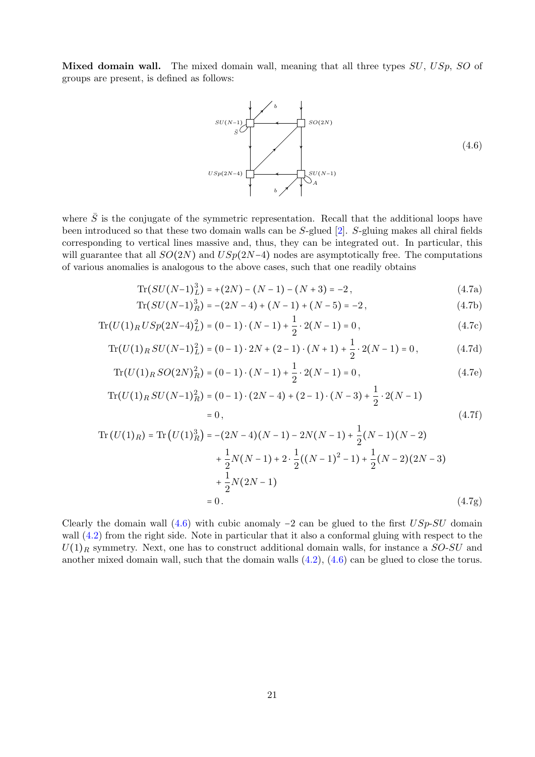Mixed domain wall. The mixed domain wall, meaning that all three types  $SU, USp, SO$  of groups are present, is defined as follows:

<span id="page-21-0"></span>

where  $\overline{S}$  is the conjugate of the symmetric representation. Recall that the additional loops have been introduced so that these two domain walls can be S-glued [\[2\]](#page-32-3). S-gluing makes all chiral fields corresponding to vertical lines massive and, thus, they can be integrated out. In particular, this will guarantee that all  $SO(2N)$  and  $USp(2N-4)$  nodes are asymptotically free. The computations of various anomalies is analogous to the above cases, such that one readily obtains

$$
\text{Tr}(SU(N-1)_L^3) = +(2N) - (N-1) - (N+3) = -2,\tag{4.7a}
$$

$$
\operatorname{Tr}(SU(N-1)_R^3) = -(2N-4) + (N-1) + (N-5) = -2,\tag{4.7b}
$$

$$
\operatorname{Tr}(U(1)_R USp(2N-4)_L^2) = (0-1) \cdot (N-1) + \frac{1}{2} \cdot 2(N-1) = 0, \tag{4.7c}
$$

$$
\operatorname{Tr}(U(1)_R SU(N-1)_L^2) = (0-1) \cdot 2N + (2-1) \cdot (N+1) + \frac{1}{2} \cdot 2(N-1) = 0, \tag{4.7d}
$$

$$
\operatorname{Tr}(U(1)_R SO(2N)_R^2) = (0-1) \cdot (N-1) + \frac{1}{2} \cdot 2(N-1) = 0, \tag{4.7e}
$$

$$
\operatorname{Tr}(U(1)_R SU(N-1)_R^2) = (0-1) \cdot (2N-4) + (2-1) \cdot (N-3) + \frac{1}{2} \cdot 2(N-1)
$$
  
= 0, (4.7f)

Tr 
$$
(U(1)_R)
$$
 = Tr  $(U(1)_R^3$ ) = -(2N-4)(N-1) - 2N(N-1) +  $\frac{1}{2}$ (N-1)(N-2)  
+  $\frac{1}{2}$ N(N-1) + 2 ·  $\frac{1}{2}$ ((N-1)<sup>2</sup> - 1) +  $\frac{1}{2}$ (N-2)(2N-3)  
+  $\frac{1}{2}$ N(2N-1)  
= 0. (4.7g)

Clearly the domain wall  $(4.6)$  with cubic anomaly  $-2$  can be glued to the first  $USp-SU$  domain wall  $(4.2)$  from the right side. Note in particular that it also a conformal gluing with respect to the  $U(1)_R$  symmetry. Next, one has to construct additional domain walls, for instance a  $SO-SU$  and another mixed domain wall, such that the domain walls  $(4.2)$ ,  $(4.6)$  can be glued to close the torus.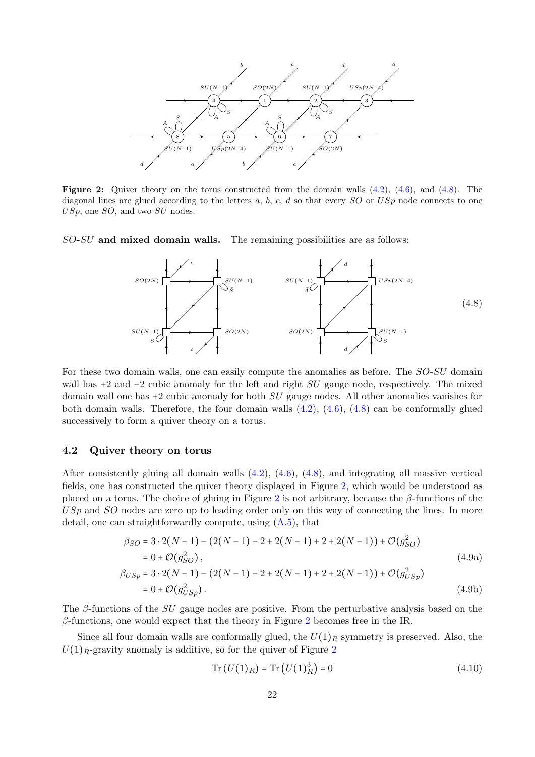<span id="page-22-2"></span>

**Figure 2:** Quiver theory on the torus constructed from the domain walls  $(4.2)$ ,  $(4.6)$ , and  $(4.8)$ . The diagonal lines are glued according to the letters a, b, c, d so that every  $SO$  or  $USp$  node connects to one USp, one SO, and two SU nodes.

SO-SU and mixed domain walls. The remaining possibilities are as follows:

<span id="page-22-1"></span>

For these two domain walls, one can easily compute the anomalies as before. The  $SO-SU$  domain wall has  $+2$  and  $-2$  cubic anomaly for the left and right  $SU$  gauge node, respectively. The mixed domain wall one has +2 cubic anomaly for both SU gauge nodes. All other anomalies vanishes for both domain walls. Therefore, the four domain walls [\(4.2\)](#page-20-0), [\(4.6\)](#page-21-0), [\(4.8\)](#page-22-1) can be conformally glued successively to form a quiver theory on a torus.

## <span id="page-22-0"></span>4.2 Quiver theory on torus

After consistently gluing all domain walls [\(4.2\)](#page-20-0), [\(4.6\)](#page-21-0), [\(4.8\)](#page-22-1), and integrating all massive vertical fields, one has constructed the quiver theory displayed in Figure [2,](#page-22-2) which would be understood as placed on a torus. The choice of gluing in Figure [2](#page-22-2) is not arbitrary, because the  $\beta$ -functions of the USp and SO nodes are zero up to leading order only on this way of connecting the lines. In more detail, one can straightforwardly compute, using [\(A.5\)](#page-32-12), that

$$
\beta_{SO} = 3 \cdot 2(N-1) - (2(N-1) - 2 + 2(N-1) + 2 + 2(N-1)) + \mathcal{O}(g_{SO}^2)
$$
  
\n
$$
= 0 + \mathcal{O}(g_{SO}^2),
$$
  
\n
$$
\beta_{USp} = 3 \cdot 2(N-1) - (2(N-1) - 2 + 2(N-1) + 2 + 2(N-1)) + \mathcal{O}(g_{USp}^2)
$$
  
\n
$$
= 0 + \mathcal{O}(g_{USp}^2).
$$
\n(4.9b)

The  $\beta$ -functions of the SU gauge nodes are positive. From the perturbative analysis based on the  $\beta$ -functions, one would expect that the theory in Figure [2](#page-22-2) becomes free in the IR.

Since all four domain walls are conformally glued, the  $U(1)<sub>R</sub>$  symmetry is preserved. Also, the  $U(1)_R$ -gravity anomaly is additive, so for the quiver of Figure [2](#page-22-2)

<span id="page-22-3"></span>
$$
Tr(U(1)R) = Tr(U(1)R3) = 0
$$
\n(4.10)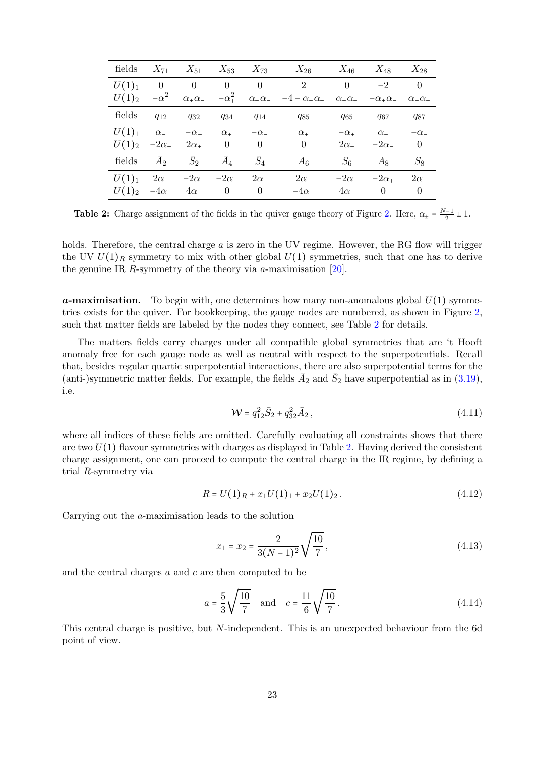<span id="page-23-0"></span>

|  |                                                                 |  | fields $X_{71}$ $X_{51}$ $X_{53}$ $X_{73}$ $X_{26}$ $X_{46}$ $X_{48}$ $X_{28}$                                                              |                                 |  |
|--|-----------------------------------------------------------------|--|---------------------------------------------------------------------------------------------------------------------------------------------|---------------------------------|--|
|  |                                                                 |  | $U(1)_1$ 0 0 0 0 2 0 -2 0                                                                                                                   |                                 |  |
|  |                                                                 |  | $U(1)_2$ $-\alpha_-^2$ $\alpha_+\alpha_ -\alpha_+^2$ $\alpha_+\alpha_ -4-\alpha_+\alpha_ \alpha_+\alpha_ -\alpha_+\alpha_ \alpha_+\alpha_-$ |                                 |  |
|  |                                                                 |  | fields $q_{12}$ $q_{32}$ $q_{34}$ $q_{14}$ $q_{85}$ $q_{65}$ $q_{67}$ $q_{87}$                                                              |                                 |  |
|  |                                                                 |  | $U(1)_1$ $\alpha$ $-\alpha$ $\alpha$ $-\alpha$ $-\alpha$ $\alpha$                                                                           | $-\alpha_+$ $\alpha_ -\alpha_-$ |  |
|  |                                                                 |  | $U(1)_2$ $-2\alpha$ $2\alpha$ $0$ $0$ $0$                                                                                                   | $2\alpha_+$ $-2\alpha_-$ 0      |  |
|  | fields $\bar{A}_2$ $\bar{S}_2$ $\bar{A}_4$ $\bar{S}_4$          |  | $A_6$                                                                                                                                       | $S_6$ $A_8$ $S_8$               |  |
|  | $U(1)_1$   $2\alpha_+$ -2 $\alpha_-$ -2 $\alpha_+$ 2 $\alpha_-$ |  | $2\alpha_+$                                                                                                                                 | $-2\alpha$ $-2\alpha$ $2\alpha$ |  |
|  | $U(1)_2$ $-4\alpha_+$ $4\alpha_-$ 0 0                           |  | $-4\alpha_+$                                                                                                                                | $4\alpha_{-}$ 0 0               |  |

**Table 2:** Charge assignment of the fields in the quiver gauge theory of Figure [2.](#page-22-2) Here,  $\alpha_{\pm} = \frac{N-1}{2} \pm 1$ .

holds. Therefore, the central charge  $a$  is zero in the UV regime. However, the RG flow will trigger the UV  $U(1)_R$  symmetry to mix with other global  $U(1)$  symmetries, such that one has to derive the genuine IR R-symmetry of the theory via  $a$ -maximisation [\[20\]](#page-33-6).

**a-maximisation.** To begin with, one determines how many non-anomalous global  $U(1)$  symmetries exists for the quiver. For bookkeeping, the gauge nodes are numbered, as shown in Figure [2,](#page-22-2) such that matter fields are labeled by the nodes they connect, see Table [2](#page-23-0) for details.

The matters fields carry charges under all compatible global symmetries that are 't Hooft anomaly free for each gauge node as well as neutral with respect to the superpotentials. Recall that, besides regular quartic superpotential interactions, there are also superpotential terms for the (anti-)symmetric matter fields. For example, the fields  $\bar{A}_2$  and  $\bar{S}_2$  have superpotential as in [\(3.19\)](#page-12-1), i.e.

<span id="page-23-2"></span>
$$
\mathcal{W} = q_{12}^2 \bar{S}_2 + q_{32}^2 \bar{A}_2, \qquad (4.11)
$$

where all indices of these fields are omitted. Carefully evaluating all constraints shows that there are two  $U(1)$  flavour symmetries with charges as displayed in Table [2.](#page-23-0) Having derived the consistent charge assignment, one can proceed to compute the central charge in the IR regime, by defining a trial R-symmetry via

$$
R = U(1)_R + x_1 U(1)_1 + x_2 U(1)_2. \tag{4.12}
$$

Carrying out the a-maximisation leads to the solution

<span id="page-23-1"></span>
$$
x_1 = x_2 = \frac{2}{3(N-1)^2} \sqrt{\frac{10}{7}},
$$
\n(4.13)

and the central charges  $a$  and  $c$  are then computed to be

$$
a = \frac{5}{3}\sqrt{\frac{10}{7}}
$$
 and  $c = \frac{11}{6}\sqrt{\frac{10}{7}}$ . (4.14)

This central charge is positive, but N-independent. This is an unexpected behaviour from the 6d point of view.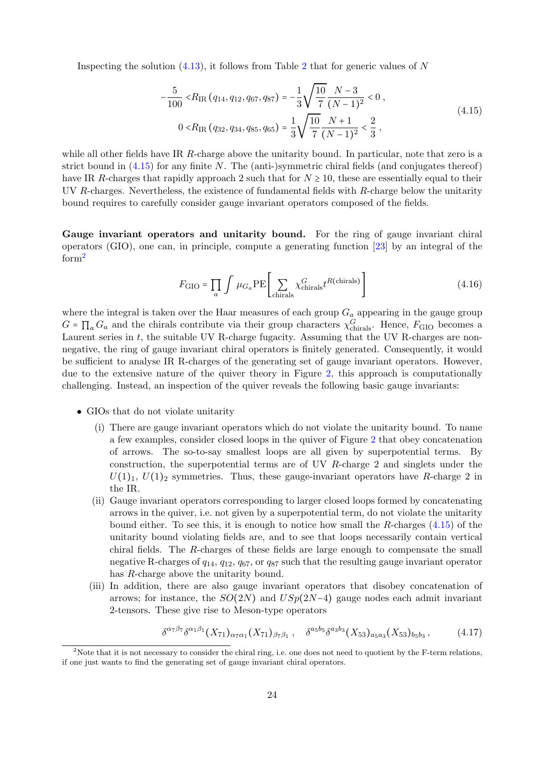Inspecting the solution  $(4.13)$ , it follows from Table [2](#page-23-0) that for generic values of N

<span id="page-24-0"></span>
$$
-\frac{5}{100} < R_{\rm IR} (q_{14}, q_{12}, q_{67}, q_{87}) = -\frac{1}{3} \sqrt{\frac{10}{7}} \frac{N-3}{(N-1)^2} < 0 ,
$$
  
0 < R\_{\rm IR} (q\_{32}, q\_{34}, q\_{85}, q\_{65}) = \frac{1}{3} \sqrt{\frac{10}{7}} \frac{N+1}{(N-1)^2} < \frac{2}{3} , (4.15)

while all other fields have IR R-charge above the unitarity bound. In particular, note that zero is a strict bound in  $(4.15)$  for any finite N. The (anti-)symmetric chiral fields (and conjugates thereof) have IR R-charges that rapidly approach 2 such that for  $N \ge 10$ , these are essentially equal to their UV R-charges. Nevertheless, the existence of fundamental fields with R-charge below the unitarity bound requires to carefully consider gauge invariant operators composed of the fields.

Gauge invariant operators and unitarity bound. For the ring of gauge invariant chiral operators (GIO), one can, in principle, compute a generating function [\[23\]](#page-33-9) by an integral of the form<sup>[2](#page-24-1)</sup>

$$
F_{\rm GIO} = \prod_{a} \int \mu_{G_a} \rm PE \left[ \sum_{chirals} \chi_{chirals}^{G} t^{R(chirals)} \right]
$$
 (4.16)

where the integral is taken over the Haar measures of each group  $G_a$  appearing in the gauge group  $G = \prod_a G_a$  and the chirals contribute via their group characters  $\chi_{\text{chirals}}^G$ . Hence,  $F_{\text{GIO}}$  becomes a Laurent series in  $t$ , the suitable UV R-charge fugacity. Assuming that the UV R-charges are nonnegative, the ring of gauge invariant chiral operators is finitely generated. Consequently, it would be sufficient to analyse IR R-charges of the generating set of gauge invariant operators. However, due to the extensive nature of the quiver theory in Figure [2,](#page-22-2) this approach is computationally challenging. Instead, an inspection of the quiver reveals the following basic gauge invariants:

- GIOs that do not violate unitarity
	- (i) There are gauge invariant operators which do not violate the unitarity bound. To name a few examples, consider closed loops in the quiver of Figure [2](#page-22-2) that obey concatenation of arrows. The so-to-say smallest loops are all given by superpotential terms. By construction, the superpotential terms are of UV R-charge 2 and singlets under the  $U(1)_1, U(1)_2$  symmetries. Thus, these gauge-invariant operators have R-charge 2 in the IR.
	- (ii) Gauge invariant operators corresponding to larger closed loops formed by concatenating arrows in the quiver, i.e. not given by a superpotential term, do not violate the unitarity bound either. To see this, it is enough to notice how small the  $R$ -charges  $(4.15)$  of the unitarity bound violating fields are, and to see that loops necessarily contain vertical chiral fields. The R-charges of these fields are large enough to compensate the small negative R-charges of  $q_{14}$ ,  $q_{12}$ ,  $q_{67}$ , or  $q_{87}$  such that the resulting gauge invariant operator has R-charge above the unitarity bound.
	- (iii) In addition, there are also gauge invariant operators that disobey concatenation of arrows; for instance, the  $SO(2N)$  and  $USp(2N-4)$  gauge nodes each admit invariant 2-tensors. These give rise to Meson-type operators

$$
\delta^{\alpha\gamma\beta\gamma}\delta^{\alpha_1\beta_1}(X_{71})_{\alpha_7\alpha_1}(X_{71})_{\beta_7\beta_1}, \quad \delta^{a_5b_5}\delta^{a_3b_3}(X_{53})_{a_5a_3}(X_{53})_{b_5b_3}, \quad (4.17)
$$

<span id="page-24-1"></span><sup>&</sup>lt;sup>2</sup>Note that it is not necessary to consider the chiral ring, i.e. one does not need to quotient by the F-term relations, if one just wants to find the generating set of gauge invariant chiral operators.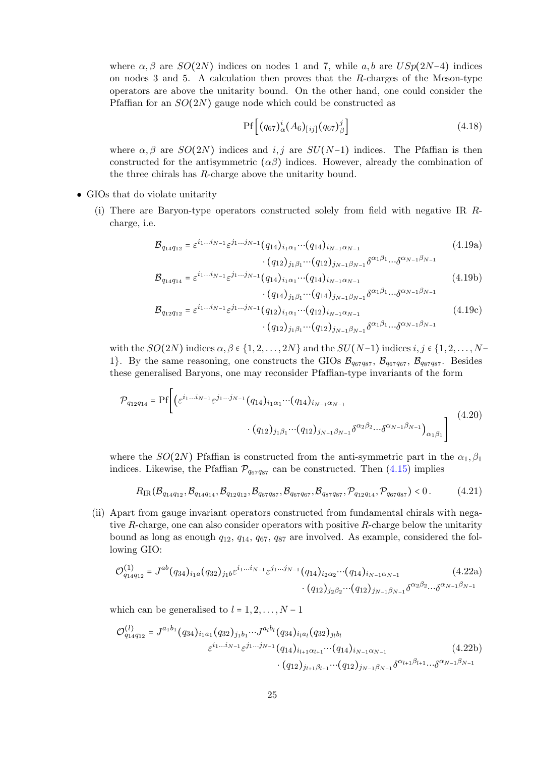where  $\alpha, \beta$  are  $SO(2N)$  indices on nodes 1 and 7, while a, b are  $USp(2N-4)$  indices on nodes 3 and 5. A calculation then proves that the R-charges of the Meson-type operators are above the unitarity bound. On the other hand, one could consider the Pfaffian for an  $SO(2N)$  gauge node which could be constructed as

$$
Pf\left[ (q_{67})^i_\alpha (A_6)_{[ij]} (q_{67})^j_\beta \right] \tag{4.18}
$$

where  $\alpha, \beta$  are  $SO(2N)$  indices and  $i, j$  are  $SU(N-1)$  indices. The Pfaffian is then constructed for the antisymmetric  $(\alpha\beta)$  indices. However, already the combination of the three chirals has R-charge above the unitarity bound.

- GIOs that do violate unitarity
	- (i) There are Baryon-type operators constructed solely from field with negative IR Rcharge, i.e.

<span id="page-25-0"></span>
$$
\mathcal{B}_{q_{14}q_{12}} = \varepsilon^{i_1...i_{N-1}} \varepsilon^{j_1...j_{N-1}} (q_{14})_{i_1 \alpha_1} \cdots (q_{14})_{i_{N-1} \alpha_{N-1}} \qquad (4.19a)
$$

$$
\cdot (q_{12})_{j_1 \beta_1} \cdots (q_{12})_{j_{N-1} \beta_{N-1}} \delta^{\alpha_1 \beta_1} \cdots \delta^{\alpha_{N-1} \beta_{N-1}}
$$

$$
\mathcal{B}_{q_{14}q_{14}} = \varepsilon^{i_1...i_{N-1}} \varepsilon^{j_1...j_{N-1}} (q_{14})_{i_1 \alpha_1} \cdots (q_{14})_{i_{N-1} \alpha_{N-1}}
$$
\n(4.19b)

<span id="page-25-1"></span>
$$
\mathcal{B}_{q_{12}q_{12}} = \varepsilon^{i_1...i_{N-1}} \varepsilon^{j_1...j_{N-1}} (q_{12})_{i_1 \alpha_1} \cdots (q_{12})_{i_{N-1} \beta_{N-1}} \delta^{\alpha_1 \beta_1} \cdots \delta^{\alpha_{N-1} \beta_{N-1}}
$$
\n
$$
\cdot (q_{12})_{j_1 \beta_1} \cdots (q_{12})_{j_{N-1} \beta_{N-1}} \delta^{\alpha_1 \beta_1} \cdots \delta^{\alpha_{N-1} \beta_{N-1}}
$$
\n
$$
(4.19c)
$$

with the  $SO(2N)$  indices  $\alpha, \beta \in \{1, 2, \ldots, 2N\}$  and the  $SU(N-1)$  indices  $i, j \in \{1, 2, \ldots, N-1\}$ 1. By the same reasoning, one constructs the GIOs  $\mathcal{B}_{q_{67}q_{87}}, \mathcal{B}_{q_{67}q_{67}}, \mathcal{B}_{q_{87}q_{87}}$ . Besides these generalised Baryons, one may reconsider Pfaffian-type invariants of the form

$$
\mathcal{P}_{q_{12}q_{14}} = \Pr \left[ \left( \varepsilon^{i_1 \dots i_{N-1}} \varepsilon^{j_1 \dots j_{N-1}} (q_{14})_{i_1 \alpha_1} \dots (q_{14})_{i_{N-1} \alpha_{N-1}} \right. \right. \left. \left. \left. (q_{12})_{j_1 \beta_1} \dots (q_{12})_{j_{N-1} \beta_{N-1}} \delta^{\alpha_2 \beta_2} \dots \delta^{\alpha_{N-1} \beta_{N-1}} \right)_{\alpha_1 \beta_1} \right] \right] \tag{4.20}
$$

where the  $SO(2N)$  Pfaffian is constructed from the anti-symmetric part in the  $\alpha_1, \beta_1$ indices. Likewise, the Pfaffian  $\mathcal{P}_{q_67q_{87}}$  can be constructed. Then [\(4.15\)](#page-24-0) implies

$$
R_{\rm IR}(\mathcal{B}_{q_{14}q_{12}}, \mathcal{B}_{q_{14}q_{14}}, \mathcal{B}_{q_{12}q_{12}}, \mathcal{B}_{q_{67}q_{87}}, \mathcal{B}_{q_{67}q_{67}}, \mathcal{B}_{q_{87}q_{87}}, \mathcal{P}_{q_{12}q_{14}}, \mathcal{P}_{q_{67}q_{87}}) < 0. \tag{4.21}
$$

(ii) Apart from gauge invariant operators constructed from fundamental chirals with negative R-charge, one can also consider operators with positive R-charge below the unitarity bound as long as enough  $q_{12}$ ,  $q_{14}$ ,  $q_{67}$ ,  $q_{87}$  are involved. As example, considered the following GIO:

$$
\mathcal{O}_{q_{14}q_{12}}^{(1)} = J^{ab}(q_{34})_{i_1a}(q_{32})_{j_1b}\varepsilon^{i_1...i_{N-1}}\varepsilon^{j_1...j_{N-1}}(q_{14})_{i_2\alpha_2} \cdots (q_{14})_{i_{N-1}\alpha_{N-1}} \qquad (4.22a)
$$

$$
\cdot (q_{12})_{j_2\beta_2} \cdots (q_{12})_{j_{N-1}\beta_{N-1}} \delta^{\alpha_2\beta_2} \cdots \delta^{\alpha_{N-1}\beta_{N-1}}
$$

which can be generalised to  $l = 1, 2, \ldots, N - 1$ 

$$
\mathcal{O}_{q_{14}q_{12}}^{(l)} = J^{a_1b_1}(q_{34})_{i_1a_1}(q_{32})_{j_1b_1}\cdots J^{a_l b_l}(q_{34})_{i_l a_l}(q_{32})_{j_l b_l}
$$
\n
$$
\varepsilon^{i_1...i_{N-1}}\varepsilon^{j_1...j_{N-1}}(q_{14})_{i_{l+1}\alpha_{l+1}}\cdots (q_{14})_{i_{N-1}\alpha_{N-1}} \qquad (4.22b)
$$
\n
$$
\cdot (q_{12})_{j_{l+1}\beta_{l+1}}\cdots (q_{12})_{j_{N-1}\beta_{N-1}}\delta^{\alpha_{l+1}\beta_{l+1}}\cdots \delta^{\alpha_{N-1}\beta_{N-1}}
$$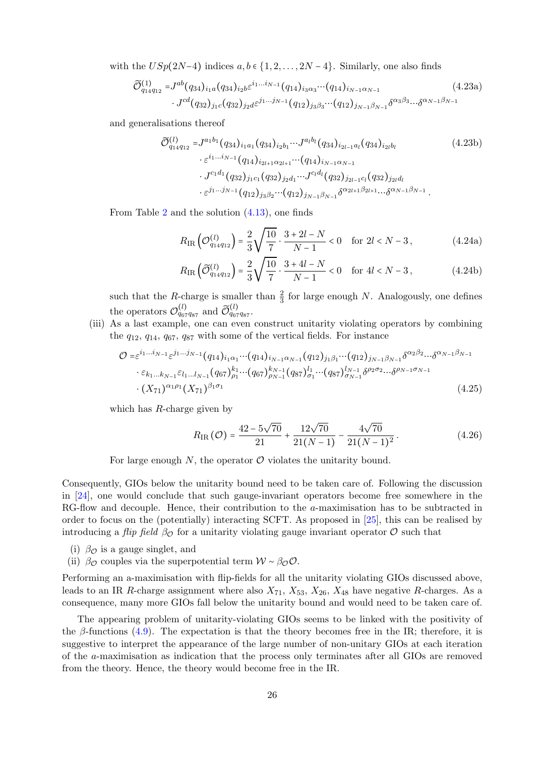with the  $USp(2N-4)$  indices  $a, b \in \{1, 2, ..., 2N-4\}$ . Similarly, one also finds

$$
\widetilde{\mathcal{O}}_{q_{14}q_{12}}^{(1)} = J^{ab}(q_{34})_{i_1a}(q_{34})_{i_2b} \varepsilon^{i_1...i_{N-1}}(q_{14})_{i_3\alpha_3} \cdots (q_{14})_{i_{N-1}\alpha_{N-1}} \qquad (4.23a)
$$
\n
$$
\cdot J^{cd}(q_{32})_{j_1c}(q_{32})_{j_2d} \varepsilon^{j_1...j_{N-1}}(q_{12})_{j_3\beta_3} \cdots (q_{12})_{j_{N-1}\beta_{N-1}} \delta^{\alpha_3\beta_3} \cdots \delta^{\alpha_{N-1}\beta_{N-1}}
$$

and generalisations thereof

$$
\widetilde{\mathcal{O}}_{q_{14}q_{12}}^{(l)} = J^{a_1b_1}(q_{34})_{i_1a_1}(q_{34})_{i_2b_1}\cdots J^{a_l b_l}(q_{34})_{i_{2l-1}a_l}(q_{34})_{i_{2l}b_l}
$$
\n
$$
\cdot \varepsilon^{i_1\ldots i_{N-1}}(q_{14})_{i_{2l+1}\alpha_{2l+1}}\cdots (q_{14})_{i_{N-1}\alpha_{N-1}}
$$
\n
$$
\cdot J^{c_1d_1}(q_{32})_{j_1c_1}(q_{32})_{j_2d_1}\cdots J^{c_l d_l}(q_{32})_{j_{2l-1}c_l}(q_{32})_{j_{2l}d_l}
$$
\n
$$
\cdot \varepsilon^{j_1\ldots j_{N-1}}(q_{12})_{j_3\beta_2}\cdots (q_{12})_{j_{N-1}\beta_{N-1}}\delta^{\alpha_{2l+1}\beta_{2l+1}}\cdots \delta^{\alpha_{N-1}\beta_{N-1}}.
$$
\n(4.23b)

From Table [2](#page-23-0) and the solution [\(4.13\)](#page-23-1), one finds

$$
R_{\rm IR}\left(\mathcal{O}_{q_{14}q_{12}}^{(l)}\right) = \frac{2}{3} \sqrt{\frac{10}{7}} \cdot \frac{3 + 2l - N}{N - 1} < 0 \quad \text{for } 2l < N - 3,\tag{4.24a}
$$

$$
R_{\rm IR}\left(\widetilde{\mathcal{O}}_{q_{14}q_{12}}^{(l)}\right) = \frac{2}{3}\sqrt{\frac{10}{7}\cdot\frac{3+4l-N}{N-1}} < 0 \quad \text{for } 4l < N-3, \tag{4.24b}
$$

such that the R-charge is smaller than  $\frac{2}{3}$  for large enough N. Analogously, one defines the operators  $\mathcal{O}_{q_{67}q_{87}}^{(l)}$  and  $\widetilde{\mathcal{O}}_{q_{67}q_{87}}^{(l)}$ .

(iii) As a last example, one can even construct unitarity violating operators by combining the  $q_{12}, q_{14}, q_{67}, q_{87}$  with some of the vertical fields. For instance

$$
\mathcal{O} = \varepsilon^{i_1 \dots i_{N-1}} \varepsilon^{j_1 \dots j_{N-1}} (q_{14})_{i_1 \alpha_1} \dots (q_{14})_{i_{N-1} \alpha_{N-1}} (q_{12})_{j_1 \beta_1} \dots (q_{12})_{j_{N-1} \beta_{N-1}} \delta^{\alpha_2 \beta_2} \dots \delta^{\alpha_{N-1} \beta_{N-1}}
$$
  
\n
$$
\cdot \varepsilon_{k_1 \dots k_{N-1}} \varepsilon_{l_1 \dots l_{N-1}} (q_{67})_{\rho_1}^{k_1} \dots (q_{67})_{\rho_{N-1}}^{k_{N-1}} (q_{87})_{\sigma_1}^{l_1} \dots (q_{87})_{\sigma_{N-1}}^{l_{N-1}} \delta^{\rho_2 \sigma_2} \dots \delta^{\rho_{N-1} \sigma_{N-1}}
$$
  
\n
$$
\cdot (X_{71})^{\alpha_1 \rho_1} (X_{71})^{\beta_1 \sigma_1} (X_{71})^{\beta_1 \sigma_1} (X_{71})^{\beta_1 \sigma_1} (X_{71})^{\beta_1 \sigma_1} (X_{71})^{\beta_1 \sigma_1} (X_{71})^{\beta_1 \sigma_1} (X_{71})^{\beta_1 \sigma_1} (X_{71})^{\beta_1 \sigma_1} (X_{71})^{\beta_1 \sigma_1} (X_{71})^{\beta_1 \sigma_1} (X_{71})^{\beta_1 \sigma_1} (X_{71})^{\beta_1 \sigma_1} (X_{71})^{\beta_1 \sigma_1} (X_{71})^{\beta_1 \sigma_1} (X_{71})^{\beta_1 \sigma_1} (X_{71})^{\beta_1 \sigma_1} (X_{71})^{\beta_1 \sigma_1} (X_{71})^{\beta_1 \sigma_1} (X_{71})^{\beta_1 \sigma_1} (X_{71})^{\beta_1 \sigma_1} (X_{71})^{\beta_1 \sigma_1} (X_{71})^{\beta_1 \sigma_1} (X_{71})^{\beta_1 \sigma_1} (X_{71})^{\beta_1 \sigma_1} (X_{71})^{\beta_1 \sigma_1} (X_{71})^{\beta_1 \sigma_1} (X_{71})^{\beta_1 \sigma_1} (
$$

which has R-charge given by

$$
R_{\rm IR}(\mathcal{O}) = \frac{42 - 5\sqrt{70}}{21} + \frac{12\sqrt{70}}{21(N-1)} - \frac{4\sqrt{70}}{21(N-1)^2}.
$$
 (4.26)

For large enough  $N$ , the operator  $\mathcal O$  violates the unitarity bound.

Consequently, GIOs below the unitarity bound need to be taken care of. Following the discussion in [\[24\]](#page-33-10), one would conclude that such gauge-invariant operators become free somewhere in the RG-flow and decouple. Hence, their contribution to the a-maximisation has to be subtracted in order to focus on the (potentially) interacting SCFT. As proposed in [\[25\]](#page-33-11), this can be realised by introducing a *flip field*  $\beta_{\mathcal{O}}$  for a unitarity violating gauge invariant operator  $\mathcal O$  such that

- (i)  $\beta_{\mathcal{O}}$  is a gauge singlet, and
- (ii)  $\beta_{\mathcal{O}}$  couples via the superpotential term  $\mathcal{W} \sim \beta_{\mathcal{O}}\mathcal{O}$ .

Performing an a-maximisation with flip-fields for all the unitarity violating GIOs discussed above, leads to an IR R-charge assignment where also  $X_{71}$ ,  $X_{53}$ ,  $X_{26}$ ,  $X_{48}$  have negative R-charges. As a consequence, many more GIOs fall below the unitarity bound and would need to be taken care of.

The appearing problem of unitarity-violating GIOs seems to be linked with the positivity of the  $\beta$ -functions [\(4.9\)](#page-22-3). The expectation is that the theory becomes free in the IR; therefore, it is suggestive to interpret the appearance of the large number of non-unitary GIOs at each iteration of the a-maximisation as indication that the process only terminates after all GIOs are removed from the theory. Hence, the theory would become free in the IR.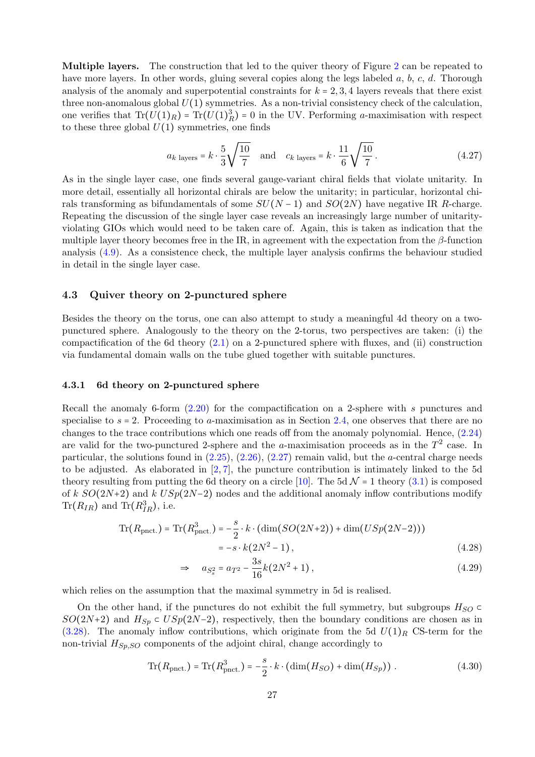Multiple layers. The construction that led to the quiver theory of Figure [2](#page-22-2) can be repeated to have more layers. In other words, gluing several copies along the legs labeled  $a, b, c, d$ . Thorough analysis of the anomaly and superpotential constraints for  $k = 2, 3, 4$  layers reveals that there exist three non-anomalous global  $U(1)$  symmetries. As a non-trivial consistency check of the calculation, one verifies that  $\text{Tr}(U(1)_R) = \text{Tr}(U(1)_R^3) = 0$  in the UV. Performing *a*-maximisation with respect to these three global  $U(1)$  symmetries, one finds

$$
a_{k \text{ layers}} = k \cdot \frac{5}{3} \sqrt{\frac{10}{7}} \text{ and } c_{k \text{ layers}} = k \cdot \frac{11}{6} \sqrt{\frac{10}{7}}.
$$
 (4.27)

As in the single layer case, one finds several gauge-variant chiral fields that violate unitarity. In more detail, essentially all horizontal chirals are below the unitarity; in particular, horizontal chirals transforming as bifundamentals of some  $SU(N-1)$  and  $SO(2N)$  have negative IR R-charge. Repeating the discussion of the single layer case reveals an increasingly large number of unitarityviolating GIOs which would need to be taken care of. Again, this is taken as indication that the multiple layer theory becomes free in the IR, in agreement with the expectation from the  $\beta$ -function analysis [\(4.9\)](#page-22-3). As a consistence check, the multiple layer analysis confirms the behaviour studied in detail in the single layer case.

# <span id="page-27-0"></span>4.3 Quiver theory on 2-punctured sphere

Besides the theory on the torus, one can also attempt to study a meaningful 4d theory on a twopunctured sphere. Analogously to the theory on the 2-torus, two perspectives are taken: (i) the compactification of the 6d theory [\(2.1\)](#page-3-3) on a 2-punctured sphere with fluxes, and (ii) construction via fundamental domain walls on the tube glued together with suitable punctures.

#### <span id="page-27-1"></span>4.3.1 6d theory on 2-punctured sphere

Recall the anomaly 6-form [\(2.20\)](#page-6-2) for the compactification on a 2-sphere with s punctures and specialise to  $s = 2$ . Proceeding to a-maximisation as in Section [2.4,](#page-7-0) one observes that there are no changes to the trace contributions which one reads off from the anomaly polynomial. Hence, [\(2.24\)](#page-7-2) are valid for the two-punctured 2-sphere and the a-maximisation proceeds as in the  $T^2$  case. In particular, the solutions found in  $(2.25)$ ,  $(2.26)$ ,  $(2.27)$  remain valid, but the *a*-central charge needs to be adjusted. As elaborated in [\[2,](#page-32-3) [7\]](#page-32-1), the puncture contribution is intimately linked to the 5d theory resulting from putting the 6d theory on a circle [\[10\]](#page-32-8). The 5d  $\mathcal{N} = 1$  theory [\(3.1\)](#page-8-5) is composed of k  $SO(2N+2)$  and k  $USp(2N-2)$  nodes and the additional anomaly inflow contributions modify  $\text{Tr}(R_{IR})$  and  $\text{Tr}(R_{IR}^3)$ , i.e.

$$
\text{Tr}(R_{\text{pnct.}}) = \text{Tr}(R_{\text{pnct.}}^3) = -\frac{s}{2} \cdot k \cdot (\dim(SO(2N+2)) + \dim(USp(2N-2)))
$$
  
= -s \cdot k(2N^2 - 1), (4.28)

$$
\Rightarrow \quad a_{S_s^2} = a_{T^2} - \frac{3s}{16}k(2N^2 + 1), \tag{4.29}
$$

which relies on the assumption that the maximal symmetry in 5d is realised.

On the other hand, if the punctures do not exhibit the full symmetry, but subgroups  $H_{SO} \subset$  $SO(2N+2)$  and  $H_{Sp} \subset USp(2N-2)$ , respectively, then the boundary conditions are chosen as in  $(3.28)$ . The anomaly inflow contributions, which originate from the 5d  $U(1)_R$  CS-term for the non-trivial  $H_{Sp,SO}$  components of the adjoint chiral, change accordingly to

$$
\operatorname{Tr}(R_{\text{pnct.}}) = \operatorname{Tr}(R_{\text{pnct.}}^3) = -\frac{s}{2} \cdot k \cdot (\dim(H_{SO}) + \dim(H_{Sp})) \ . \tag{4.30}
$$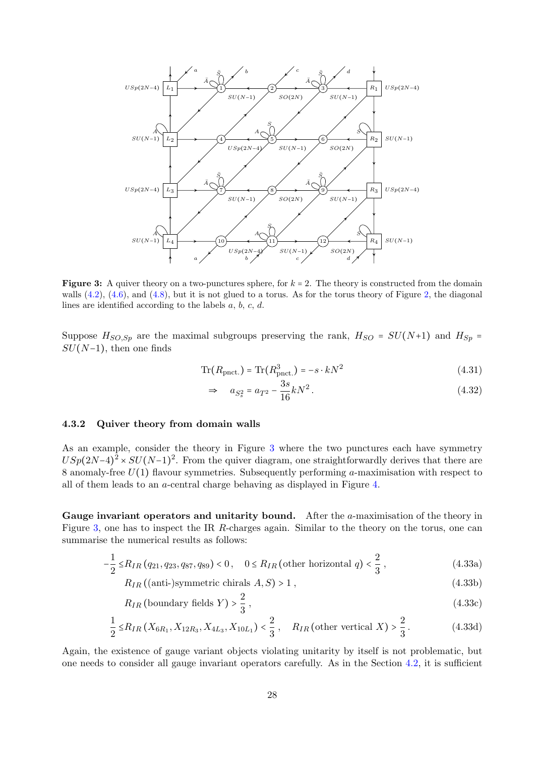<span id="page-28-1"></span>

**Figure 3:** A quiver theory on a two-punctures sphere, for  $k = 2$ . The theory is constructed from the domain walls  $(4.2)$ ,  $(4.6)$ , and  $(4.8)$ , but it is not glued to a torus. As for the torus theory of Figure [2,](#page-22-2) the diagonal lines are identified according to the labels a, b, c, d.

Suppose  $H_{SO,Sp}$  are the maximal subgroups preserving the rank,  $H_{SO} = SU(N+1)$  and  $H_{Sp} =$  $SU(N-1)$ , then one finds

$$
\operatorname{Tr}(R_{\text{pnct.}}) = \operatorname{Tr}(R_{\text{pnct.}}^3) = -s \cdot kN^2 \tag{4.31}
$$

$$
\Rightarrow \quad a_{S_s^2} = a_{T^2} - \frac{3s}{16}kN^2 \,. \tag{4.32}
$$

## <span id="page-28-0"></span>4.3.2 Quiver theory from domain walls

As an example, consider the theory in Figure [3](#page-28-1) where the two punctures each have symmetry  $USp(2N-4)^2 \times SU(N-1)^2$ . From the quiver diagram, one straightforwardly derives that there are 8 anomaly-free  $U(1)$  flavour symmetries. Subsequently performing a-maximisation with respect to all of them leads to an a-central charge behaving as displayed in Figure [4.](#page-29-0)

Gauge invariant operators and unitarity bound. After the  $a$ -maximisation of the theory in Figure [3,](#page-28-1) one has to inspect the IR R-charges again. Similar to the theory on the torus, one can summarise the numerical results as follows:

$$
-\frac{1}{2} \le R_{IR}(q_{21}, q_{23}, q_{87}, q_{89}) < 0, \quad 0 \le R_{IR} \text{ (other horizontal } q) < \frac{2}{3}, \tag{4.33a}
$$

$$
R_{IR}((\text{anti-)symmetric chirals } A, S) > 1 , \qquad (4.33b)
$$

$$
R_{IR} \text{ (boundary fields } Y) > \frac{2}{3} \,,\tag{4.33c}
$$

$$
\frac{1}{2} \le R_{IR}(X_{6R_1}, X_{12R_3}, X_{4L_3}, X_{10L_1}) < \frac{2}{3}, \quad R_{IR} \text{ (other vertical } X) > \frac{2}{3}. \tag{4.33d}
$$

Again, the existence of gauge variant objects violating unitarity by itself is not problematic, but one needs to consider all gauge invariant operators carefully. As in the Section [4.2,](#page-22-0) it is sufficient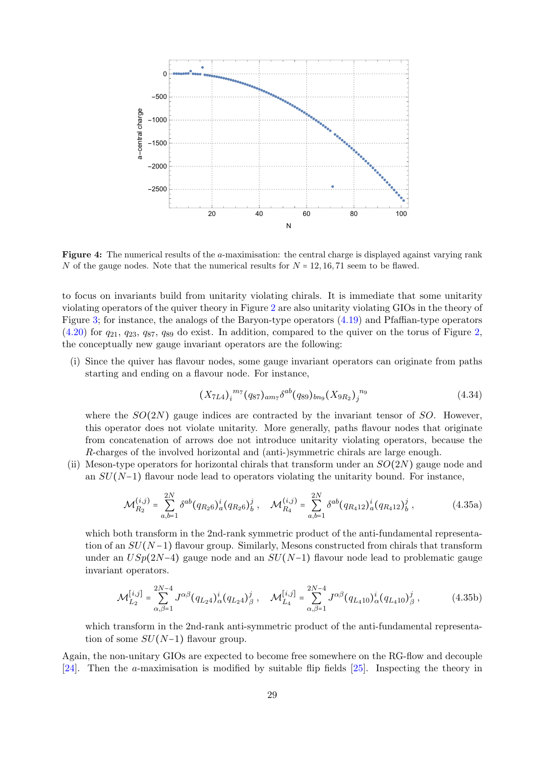<span id="page-29-0"></span>

Figure 4: The numerical results of the a-maximisation: the central charge is displayed against varying rank N of the gauge nodes. Note that the numerical results for  $N = 12, 16, 71$  seem to be flawed.

to focus on invariants build from unitarity violating chirals. It is immediate that some unitarity violating operators of the quiver theory in Figure [2](#page-22-2) are also unitarity violating GIOs in the theory of Figure [3;](#page-28-1) for instance, the analogs of the Baryon-type operators [\(4.19\)](#page-25-0) and Pfaffian-type operators  $(4.20)$  for  $q_{21}$ ,  $q_{23}$ ,  $q_{87}$ ,  $q_{89}$  do exist. In addition, compared to the quiver on the torus of Figure [2,](#page-22-2) the conceptually new gauge invariant operators are the following:

(i) Since the quiver has flavour nodes, some gauge invariant operators can originate from paths starting and ending on a flavour node. For instance,

<span id="page-29-1"></span>
$$
(X_{7L4})_i^{m_7}(q_{87})_{am_7}\delta^{ab}(q_{89})_{bn_9}(X_{9R_2})_j^{n_9}
$$
\n(4.34)

where the  $SO(2N)$  gauge indices are contracted by the invariant tensor of SO. However, this operator does not violate unitarity. More generally, paths flavour nodes that originate from concatenation of arrows doe not introduce unitarity violating operators, because the R-charges of the involved horizontal and (anti-)symmetric chirals are large enough.

(ii) Meson-type operators for horizontal chirals that transform under an  $SO(2N)$  gauge node and an  $SU(N-1)$  flavour node lead to operators violating the unitarity bound. For instance,

$$
\mathcal{M}_{R_2}^{(i,j)} = \sum_{a,b=1}^{2N} \delta^{ab} (q_{R_2 6})_a^i (q_{R_2 6})_b^j , \quad \mathcal{M}_{R_4}^{(i,j)} = \sum_{a,b=1}^{2N} \delta^{ab} (q_{R_4 12})_a^i (q_{R_4 12})_b^j , \qquad (4.35a)
$$

which both transform in the 2nd-rank symmetric product of the anti-fundamental representation of an  $SU(N-1)$  flavour group. Similarly, Mesons constructed from chirals that transform under an  $USp(2N-4)$  gauge node and an  $SU(N-1)$  flavour node lead to problematic gauge invariant operators.

$$
\mathcal{M}_{L_2}^{[i,j]} = \sum_{\alpha,\beta=1}^{2N-4} J^{\alpha\beta} (q_{L_2 4})^i_{\alpha} (q_{L_2 4})^j_{\beta} , \quad \mathcal{M}_{L_4}^{[i,j]} = \sum_{\alpha,\beta=1}^{2N-4} J^{\alpha\beta} (q_{L_4 10})^i_{\alpha} (q_{L_4 10})^j_{\beta} , \qquad (4.35b)
$$

which transform in the 2nd-rank anti-symmetric product of the anti-fundamental representation of some  $SU(N-1)$  flavour group.

Again, the non-unitary GIOs are expected to become free somewhere on the RG-flow and decouple [\[24\]](#page-33-10). Then the a-maximisation is modified by suitable flip fields [\[25\]](#page-33-11). Inspecting the theory in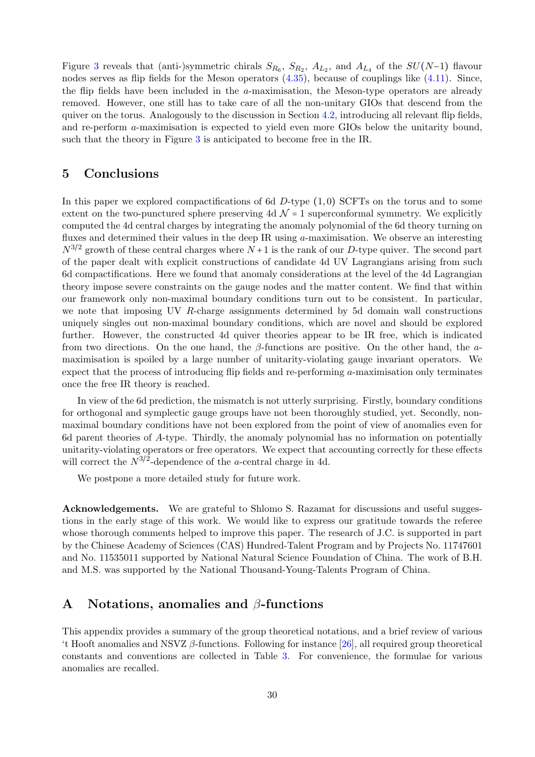Figure [3](#page-28-1) reveals that (anti-)symmetric chirals  $S_{R_6}$ ,  $S_{R_2}$ ,  $A_{L_2}$ , and  $A_{L_4}$  of the  $SU(N-1)$  flavour nodes serves as flip fields for the Meson operators [\(4.35\)](#page-29-1), because of couplings like [\(4.11\)](#page-23-2). Since, the flip fields have been included in the  $a$ -maximisation, the Meson-type operators are already removed. However, one still has to take care of all the non-unitary GIOs that descend from the quiver on the torus. Analogously to the discussion in Section [4.2,](#page-22-0) introducing all relevant flip fields, and re-perform a-maximisation is expected to yield even more GIOs below the unitarity bound, such that the theory in Figure [3](#page-28-1) is anticipated to become free in the IR.

# <span id="page-30-0"></span>5 Conclusions

In this paper we explored compactifications of 6d  $D$ -type  $(1,0)$  SCFTs on the torus and to some extent on the two-punctured sphere preserving 4d  $\mathcal{N} = 1$  superconformal symmetry. We explicitly computed the 4d central charges by integrating the anomaly polynomial of the 6d theory turning on fluxes and determined their values in the deep IR using a-maximisation. We observe an interesting  $N^{3/2}$  growth of these central charges where  $N+1$  is the rank of our D-type quiver. The second part of the paper dealt with explicit constructions of candidate 4d UV Lagrangians arising from such 6d compactifications. Here we found that anomaly considerations at the level of the 4d Lagrangian theory impose severe constraints on the gauge nodes and the matter content. We find that within our framework only non-maximal boundary conditions turn out to be consistent. In particular, we note that imposing UV R-charge assignments determined by 5d domain wall constructions uniquely singles out non-maximal boundary conditions, which are novel and should be explored further. However, the constructed 4d quiver theories appear to be IR free, which is indicated from two directions. On the one hand, the  $\beta$ -functions are positive. On the other hand, the  $\alpha$ maximisation is spoiled by a large number of unitarity-violating gauge invariant operators. We expect that the process of introducing flip fields and re-performing a-maximisation only terminates once the free IR theory is reached.

In view of the 6d prediction, the mismatch is not utterly surprising. Firstly, boundary conditions for orthogonal and symplectic gauge groups have not been thoroughly studied, yet. Secondly, nonmaximal boundary conditions have not been explored from the point of view of anomalies even for 6d parent theories of A-type. Thirdly, the anomaly polynomial has no information on potentially unitarity-violating operators or free operators. We expect that accounting correctly for these effects will correct the  $N^{3/2}$ -dependence of the *a*-central charge in 4d.

We postpone a more detailed study for future work.

Acknowledgements. We are grateful to Shlomo S. Razamat for discussions and useful suggestions in the early stage of this work. We would like to express our gratitude towards the referee whose thorough comments helped to improve this paper. The research of J.C. is supported in part by the Chinese Academy of Sciences (CAS) Hundred-Talent Program and by Projects No. 11747601 and No. 11535011 supported by National Natural Science Foundation of China. The work of B.H. and M.S. was supported by the National Thousand-Young-Talents Program of China.

# <span id="page-30-1"></span>A Notations, anomalies and  $\beta$ -functions

This appendix provides a summary of the group theoretical notations, and a brief review of various 't Hooft anomalies and NSVZ  $\beta$ -functions. Following for instance [\[26\]](#page-33-12), all required group theoretical constants and conventions are collected in Table [3.](#page-31-0) For convenience, the formulae for various anomalies are recalled.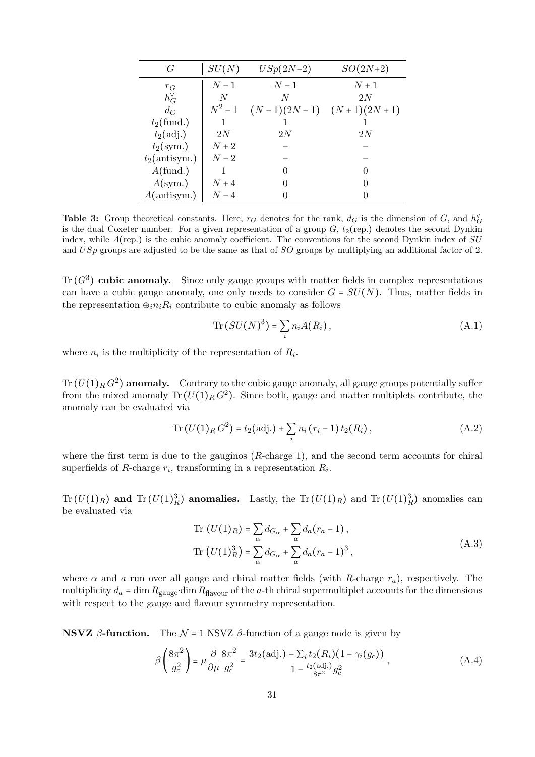<span id="page-31-0"></span>

| G                  | SU(N)     | $USp(2N-2)$                 | $SO(2N+2)$        |
|--------------------|-----------|-----------------------------|-------------------|
| $r_G$              | $N-1$     | $N-1$                       | $N+1$             |
| $h_G^{\vee}$       | N         | N                           | 2N                |
| $d_G$              | $N^2 - 1$ | $(N-1)(2N-1)$ $(N+1)(2N+1)$ |                   |
| $t_2$ (fund.)      |           |                             |                   |
| $t_2(\text{adj.})$ | 2N        | 2N                          | 2N                |
| $t_2\text{(sym.)}$ | $N+2$     |                             |                   |
| $t_2$ (antisym.)   | $N-2$     |                             |                   |
| $A$ (fund.)        |           |                             |                   |
| $A({\rm sym.})$    | $N+4$     |                             | $\mathbf{\Omega}$ |
| A(antisym.)        | $N-4$     |                             |                   |

Table 3: Group theoretical constants. Here,  $r_G$  denotes for the rank,  $d_G$  is the dimension of G, and  $h_G^{\vee}$ is the dual Coxeter number. For a given representation of a group  $G$ ,  $t_2$ (rep.) denotes the second Dynkin index, while  $A$ (rep.) is the cubic anomaly coefficient. The conventions for the second Dynkin index of  $SU$ and USp groups are adjusted to be the same as that of SO groups by multiplying an additional factor of 2.

Tr  $(G<sup>3</sup>)$  cubic anomaly. Since only gauge groups with matter fields in complex representations can have a cubic gauge anomaly, one only needs to consider  $G = SU(N)$ . Thus, matter fields in the representation  $\oplus_i n_i R_i$  contribute to cubic anomaly as follows

$$
\operatorname{Tr}\left(SU(N)^3\right) = \sum_{i} n_i A(R_i)\,,\tag{A.1}
$$

where  $n_i$  is the multiplicity of the representation of  $R_i$ .

 $\text{Tr}\, (U(1)_R\, G^2)$  anomaly. Contrary to the cubic gauge anomaly, all gauge groups potentially suffer from the mixed anomaly  $\text{Tr}(U(1)_R G^2)$ . Since both, gauge and matter multiplets contribute, the anomaly can be evaluated via

Tr 
$$
(U(1)_R G^2) = t_2(\text{adj.}) + \sum_i n_i (r_i - 1) t_2(R_i),
$$
 (A.2)

where the first term is due to the gauginos (R-charge 1), and the second term accounts for chiral superfields of R-charge  $r_i$ , transforming in a representation  $R_i$ .

 $\text{Tr}(U(1)_R)$  and  $\text{Tr}(U(1)_R^3)$  anomalies. Lastly, the  $\text{Tr}(U(1)_R)$  and  $\text{Tr}(U(1)_R^3)$  anomalies can be evaluated via

$$
\operatorname{Tr}\left(U(1)_R\right) = \sum_{\alpha} d_{G_{\alpha}} + \sum_{a} d_a (r_a - 1),
$$
\n
$$
\operatorname{Tr}\left(U(1)_R^3\right) = \sum_{\alpha} d_{G_{\alpha}} + \sum_{a} d_a (r_a - 1)^3,
$$
\n(A.3)

where  $\alpha$  and  $\alpha$  run over all gauge and chiral matter fields (with R-charge  $r_a$ ), respectively. The multiplicity  $d_a = \dim R_{\text{gauge}} \cdot \dim R_{\text{flavour}}$  of the a-th chiral supermultiplet accounts for the dimensions with respect to the gauge and flavour symmetry representation.

**NSVZ** β-function. The  $N = 1$  NSVZ β-function of a gauge node is given by

$$
\beta \left( \frac{8\pi^2}{g_c^2} \right) \equiv \mu \frac{\partial}{\partial \mu} \frac{8\pi^2}{g_c^2} = \frac{3t_2 (\text{adj.}) - \sum_i t_2 (R_i) (1 - \gamma_i (g_c))}{1 - \frac{t_2 (\text{adj.})}{8\pi^2} g_c^2},
$$
\n(A.4)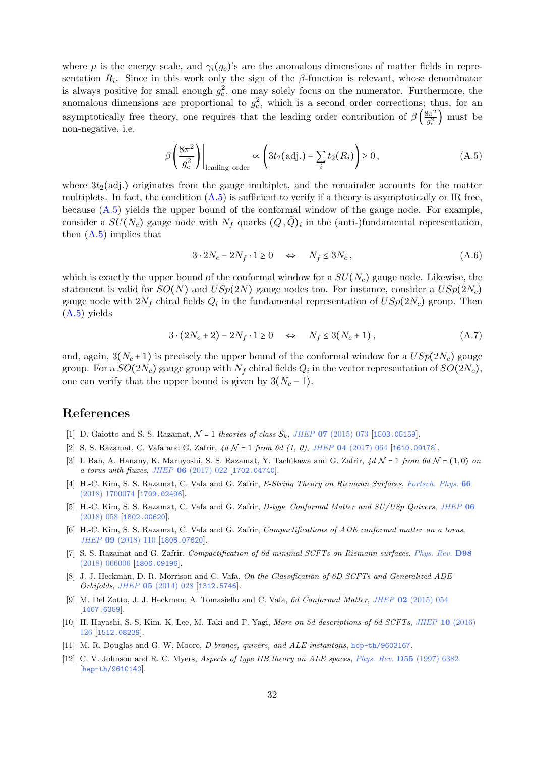where  $\mu$  is the energy scale, and  $\gamma_i(q_c)$ 's are the anomalous dimensions of matter fields in representation  $R_i$ . Since in this work only the sign of the  $\beta$ -function is relevant, whose denominator is always positive for small enough  $g_c^2$ , one may solely focus on the numerator. Furthermore, the anomalous dimensions are proportional to  $g_c^2$ , which is a second order corrections; thus, for an asymptotically free theory, one requires that the leading order contribution of  $\beta\left(\frac{8\pi^2}{a^2}\right)$  $\frac{3\pi^2}{g_c^2}$  must be non-negative, i.e.

$$
\beta \left( \frac{8\pi^2}{g_c^2} \right) \Big|_{\text{leading order}} \propto \left( 3t_2 \text{(adj.)} - \sum_i t_2(R_i) \right) \ge 0, \tag{A.5}
$$

where  $3t_2$ (adj.) originates from the gauge multiplet, and the remainder accounts for the matter multiplets. In fact, the condition  $(A.5)$  is sufficient to verify if a theory is asymptotically or IR free, because [\(A.5\)](#page-32-12) yields the upper bound of the conformal window of the gauge node. For example, consider a  $SU(N_c)$  gauge node with  $N_f$  quarks  $(Q, \tilde{Q})_i$  in the (anti-)fundamental representation, then  $(A.5)$  implies that

<span id="page-32-12"></span>
$$
3 \cdot 2N_c - 2N_f \cdot 1 \ge 0 \quad \Leftrightarrow \quad N_f \le 3N_c \,, \tag{A.6}
$$

which is exactly the upper bound of the conformal window for a  $SU(N_c)$  gauge node. Likewise, the statement is valid for  $SO(N)$  and  $USp(2N)$  gauge nodes too. For instance, consider a  $USp(2N_c)$ gauge node with  $2N_f$  chiral fields  $Q_i$  in the fundamental representation of  $USp(2N_c)$  group. Then [\(A.5\)](#page-32-12) yields

$$
3 \cdot (2N_c + 2) - 2N_f \cdot 1 \ge 0 \quad \Leftrightarrow \quad N_f \le 3(N_c + 1), \tag{A.7}
$$

and, again,  $3(N_c+1)$  is precisely the upper bound of the conformal window for a  $USp(2N_c)$  gauge group. For a  $SO(2N_c)$  gauge group with  $N_f$  chiral fields  $Q_i$  in the vector representation of  $SO(2N_c)$ , one can verify that the upper bound is given by  $3(N_c - 1)$ .

# References

- <span id="page-32-0"></span>[1] D. Gaiotto and S. S. Razamat,  $\mathcal{N} = 1$  theories of class  $\mathcal{S}_k$ , JHEP 07 [\(2015\) 073](https://doi.org/10.1007/JHEP07(2015)073) [[1503.05159](https://arxiv.org/abs/1503.05159)].
- <span id="page-32-3"></span>[2] S. S. Razamat, C. Vafa and G. Zafrir,  $4d \mathcal{N} = 1$  from 6d  $(1, 0)$ , JHEP 04 [\(2017\) 064](https://doi.org/10.1007/JHEP04(2017)064) [[1610.09178](https://arxiv.org/abs/1610.09178)].
- <span id="page-32-4"></span>[3] I. Bah, A. Hanany, K. Maruyoshi, S. S. Razamat, Y. Tachikawa and G. Zafrir,  $4dN = 1$  from 6d  $N = (1, 0)$  on a torus with fluxes, JHEP 06 [\(2017\) 022](https://doi.org/10.1007/JHEP06(2017)022) [[1702.04740](https://arxiv.org/abs/1702.04740)].
- <span id="page-32-7"></span>[4] H.-C. Kim, S. S. Razamat, C. Vafa and G. Zafrir, E-String Theory on Riemann Surfaces, [Fortsch. Phys.](https://doi.org/10.1002/prop.201700074) 66 [\(2018\) 1700074](https://doi.org/10.1002/prop.201700074) [[1709.02496](https://arxiv.org/abs/1709.02496)].
- <span id="page-32-11"></span>[5] H.-C. Kim, S. S. Razamat, C. Vafa and G. Zafrir, D-type Conformal Matter and SU/USp Quivers, [JHEP](https://doi.org/10.1007/JHEP06(2018)058) 06 [\(2018\) 058](https://doi.org/10.1007/JHEP06(2018)058) [[1802.00620](https://arxiv.org/abs/1802.00620)].
- <span id="page-32-5"></span>[6] H.-C. Kim, S. S. Razamat, C. Vafa and G. Zafrir, Compactifications of ADE conformal matter on a torus, JHEP 09 [\(2018\) 110](https://doi.org/10.1007/JHEP09(2018)110) [[1806.07620](https://arxiv.org/abs/1806.07620)].
- <span id="page-32-1"></span>[7] S. S. Razamat and G. Zafrir, Compactification of 6d minimal SCFTs on Riemann surfaces, [Phys. Rev.](https://doi.org/10.1103/PhysRevD.98.066006) D98 [\(2018\) 066006](https://doi.org/10.1103/PhysRevD.98.066006) [[1806.09196](https://arxiv.org/abs/1806.09196)].
- <span id="page-32-2"></span>[8] J. J. Heckman, D. R. Morrison and C. Vafa, On the Classification of 6D SCFTs and Generalized ADE Orbifolds, JHEP 05 [\(2014\) 028](https://doi.org/10.1007/JHEP06(2015)017, 10.1007/JHEP05(2014)028) [[1312.5746](https://arxiv.org/abs/1312.5746)].
- <span id="page-32-6"></span>[9] M. Del Zotto, J. J. Heckman, A. Tomasiello and C. Vafa, 6d Conformal Matter, JHEP 02 [\(2015\) 054](https://doi.org/10.1007/JHEP02(2015)054) [[1407.6359](https://arxiv.org/abs/1407.6359)].
- <span id="page-32-8"></span>[10] H. Hayashi, S.-S. Kim, K. Lee, M. Taki and F. Yagi, More on 5d descriptions of 6d SCFTs, JHEP 10 [\(2016\)](https://doi.org/10.1007/JHEP10(2016)126) [126](https://doi.org/10.1007/JHEP10(2016)126) [[1512.08239](https://arxiv.org/abs/1512.08239)].
- <span id="page-32-9"></span>[11] M. R. Douglas and G. W. Moore, D-branes, quivers, and ALE instantons, [hep-th/9603167](https://arxiv.org/abs/hep-th/9603167).
- <span id="page-32-10"></span>[12] C. V. Johnson and R. C. Myers, Aspects of type IIB theory on ALE spaces, Phys. Rev. D55 [\(1997\) 6382](https://doi.org/10.1103/PhysRevD.55.6382) [[hep-th/9610140](https://arxiv.org/abs/hep-th/9610140)].